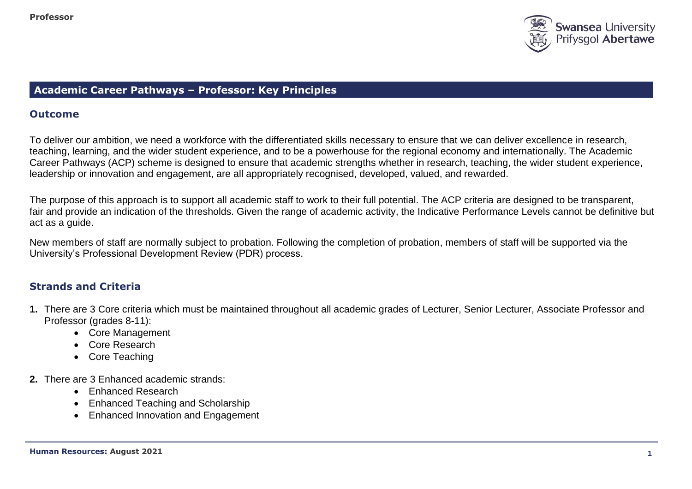

## **Academic Career Pathways – Professor: Key Principles**

## **Outcome**

To deliver our ambition, we need a workforce with the differentiated skills necessary to ensure that we can deliver excellence in research, teaching, learning, and the wider student experience, and to be a powerhouse for the regional economy and internationally. The Academic Career Pathways (ACP) scheme is designed to ensure that academic strengths whether in research, teaching, the wider student experience, leadership or innovation and engagement, are all appropriately recognised, developed, valued, and rewarded.

The purpose of this approach is to support all academic staff to work to their full potential. The ACP criteria are designed to be transparent, fair and provide an indication of the thresholds. Given the range of academic activity, the Indicative Performance Levels cannot be definitive but act as a guide.

New members of staff are normally subject to probation. Following the completion of probation, members of staff will be supported via the University's Professional Development Review (PDR) process.

# **Strands and Criteria**

- **1.** There are 3 Core criteria which must be maintained throughout all academic grades of Lecturer, Senior Lecturer, Associate Professor and Professor (grades 8-11):
	- Core Management
	- Core Research
	- Core Teaching
- **2.** There are 3 Enhanced academic strands:
	- Enhanced Research
	- Enhanced Teaching and Scholarship
	- Enhanced Innovation and Engagement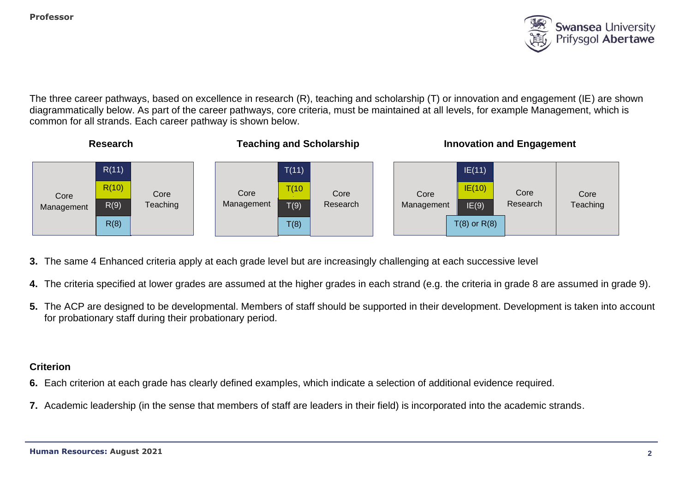

The three career pathways, based on excellence in research (R), teaching and scholarship (T) or innovation and engagement (IE) are shown diagrammatically below. As part of the career pathways, core criteria, must be maintained at all levels, for example Management, which is common for all strands. Each career pathway is shown below.



- **3.** The same 4 Enhanced criteria apply at each grade level but are increasingly challenging at each successive level
- **4.** The criteria specified at lower grades are assumed at the higher grades in each strand (e.g. the criteria in grade 8 are assumed in grade 9).
- **5.** The ACP are designed to be developmental. Members of staff should be supported in their development. Development is taken into account for probationary staff during their probationary period.

## **Criterion**

- **6.** Each criterion at each grade has clearly defined examples, which indicate a selection of additional evidence required.
- **7.** Academic leadership (in the sense that members of staff are leaders in their field) is incorporated into the academic strands.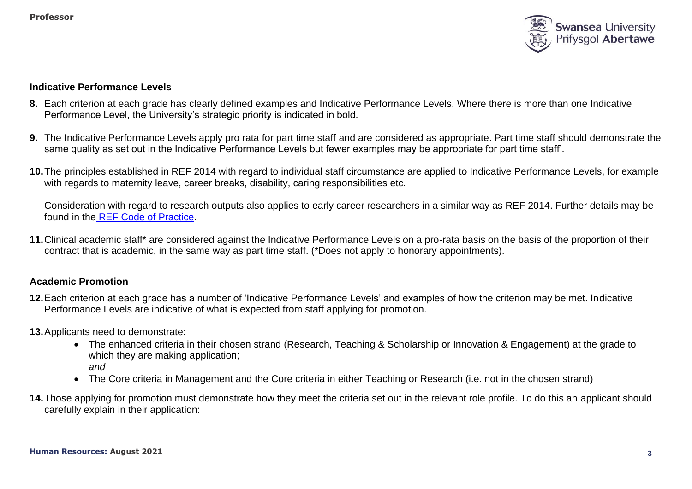

#### **Indicative Performance Levels**

- **8.** Each criterion at each grade has clearly defined examples and Indicative Performance Levels. Where there is more than one Indicative Performance Level, the University's strategic priority is indicated in bold.
- **9.** The Indicative Performance Levels apply pro rata for part time staff and are considered as appropriate. Part time staff should demonstrate the same quality as set out in the Indicative Performance Levels but fewer examples may be appropriate for part time staff'.
- **10.**The principles established in REF 2014 with regard to individual staff circumstance are applied to Indicative Performance Levels, for example with regards to maternity leave, career breaks, disability, caring responsibilities etc.

Consideration with regard to research outputs also applies to early career researchers in a similar way as REF 2014. Further details may be found in the [REF Code of Practice.](https://collaborate.swan.ac.uk/staff/projects/ref2015/SitePages/Home.aspx?RootFolder=%2Fstaff%2Fprojects%2Fref2015%2FShared%20Documents%2FInterim%20Code%20of%20Practice&FolderCTID=0x012000139FED14E093C94AB30ACC07EB68EE04&View=%7b72FCCC2E-4AD6-4F87-B278-20942BE53F44%7d)

**11.**Clinical academic staff\* are considered against the Indicative Performance Levels on a pro-rata basis on the basis of the proportion of their contract that is academic, in the same way as part time staff. (\*Does not apply to honorary appointments).

## **Academic Promotion**

- **12.**Each criterion at each grade has a number of 'Indicative Performance Levels' and examples of how the criterion may be met. Indicative Performance Levels are indicative of what is expected from staff applying for promotion.
- **13.**Applicants need to demonstrate:
	- The enhanced criteria in their chosen strand (Research, Teaching & Scholarship or Innovation & Engagement) at the grade to which they are making application; *and*
	- The Core criteria in Management and the Core criteria in either Teaching or Research (i.e. not in the chosen strand)
- **14.**Those applying for promotion must demonstrate how they meet the criteria set out in the relevant role profile. To do this an applicant should carefully explain in their application: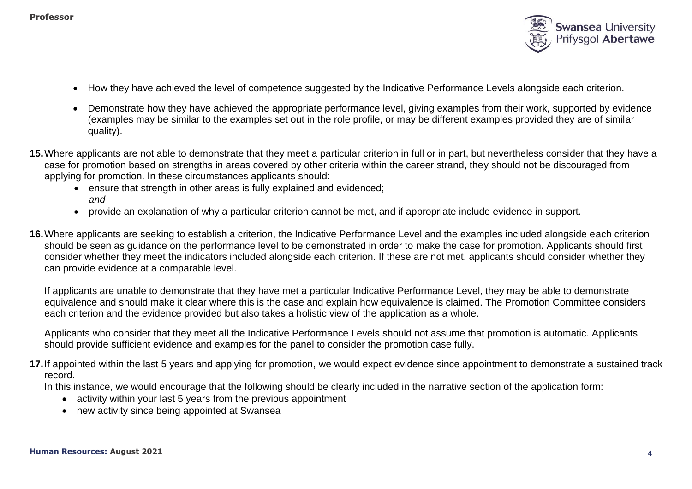

- How they have achieved the level of competence suggested by the Indicative Performance Levels alongside each criterion.
- Demonstrate how they have achieved the appropriate performance level, giving examples from their work, supported by evidence (examples may be similar to the examples set out in the role profile, or may be different examples provided they are of similar quality).
- **15.**Where applicants are not able to demonstrate that they meet a particular criterion in full or in part, but nevertheless consider that they have a case for promotion based on strengths in areas covered by other criteria within the career strand, they should not be discouraged from applying for promotion. In these circumstances applicants should:
	- ensure that strength in other areas is fully explained and evidenced: *and*
	- provide an explanation of why a particular criterion cannot be met, and if appropriate include evidence in support.
- **16.**Where applicants are seeking to establish a criterion, the Indicative Performance Level and the examples included alongside each criterion should be seen as guidance on the performance level to be demonstrated in order to make the case for promotion. Applicants should first consider whether they meet the indicators included alongside each criterion. If these are not met, applicants should consider whether they can provide evidence at a comparable level.

If applicants are unable to demonstrate that they have met a particular Indicative Performance Level, they may be able to demonstrate equivalence and should make it clear where this is the case and explain how equivalence is claimed. The Promotion Committee considers each criterion and the evidence provided but also takes a holistic view of the application as a whole.

Applicants who consider that they meet all the Indicative Performance Levels should not assume that promotion is automatic. Applicants should provide sufficient evidence and examples for the panel to consider the promotion case fully.

**17.**If appointed within the last 5 years and applying for promotion, we would expect evidence since appointment to demonstrate a sustained track record.

In this instance, we would encourage that the following should be clearly included in the narrative section of the application form:

- activity within your last 5 years from the previous appointment
- new activity since being appointed at Swansea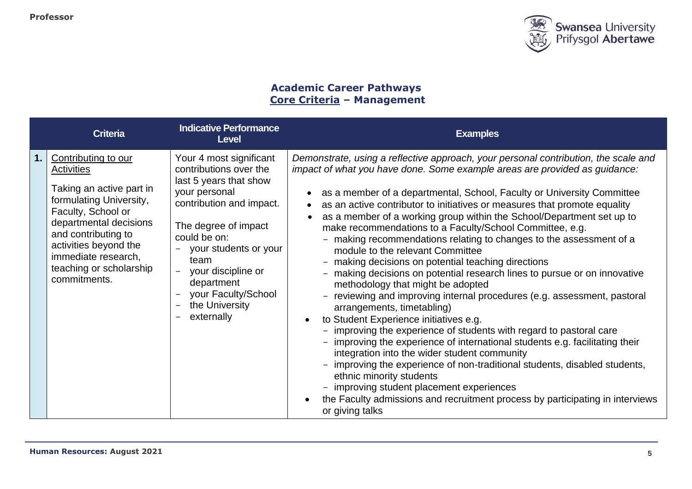

# **Academic Career Pathways Core Criteria – Management**

|    | <b>Criteria</b>                                                                                                                                                                                                                                                   | <b>Indicative Performance</b><br><b>Level</b>                                                                                                                                                                                                                                                | <b>Examples</b>                                                                                                                                                                                                                                                                                                                                                                                                                                                                                                                                                                                                                                                                                                                                                                                                                                                                                                                                                                                                                                                                                                                                                                                                                                                                                                                                                                      |
|----|-------------------------------------------------------------------------------------------------------------------------------------------------------------------------------------------------------------------------------------------------------------------|----------------------------------------------------------------------------------------------------------------------------------------------------------------------------------------------------------------------------------------------------------------------------------------------|--------------------------------------------------------------------------------------------------------------------------------------------------------------------------------------------------------------------------------------------------------------------------------------------------------------------------------------------------------------------------------------------------------------------------------------------------------------------------------------------------------------------------------------------------------------------------------------------------------------------------------------------------------------------------------------------------------------------------------------------------------------------------------------------------------------------------------------------------------------------------------------------------------------------------------------------------------------------------------------------------------------------------------------------------------------------------------------------------------------------------------------------------------------------------------------------------------------------------------------------------------------------------------------------------------------------------------------------------------------------------------------|
| 1. | Contributing to our<br><b>Activities</b><br>Taking an active part in<br>formulating University,<br>Faculty, School or<br>departmental decisions<br>and contributing to<br>activities beyond the<br>immediate research,<br>teaching or scholarship<br>commitments. | Your 4 most significant<br>contributions over the<br>last 5 years that show<br>your personal<br>contribution and impact.<br>The degree of impact<br>could be on:<br>your students or your<br>team<br>your discipline or<br>department<br>your Faculty/School<br>the University<br>externally | Demonstrate, using a reflective approach, your personal contribution, the scale and<br>impact of what you have done. Some example areas are provided as guidance:<br>as a member of a departmental, School, Faculty or University Committee<br>as an active contributor to initiatives or measures that promote equality<br>as a member of a working group within the School/Department set up to<br>make recommendations to a Faculty/School Committee, e.g.<br>- making recommendations relating to changes to the assessment of a<br>module to the relevant Committee<br>- making decisions on potential teaching directions<br>- making decisions on potential research lines to pursue or on innovative<br>methodology that might be adopted<br>- reviewing and improving internal procedures (e.g. assessment, pastoral<br>arrangements, timetabling)<br>to Student Experience initiatives e.g.<br>- improving the experience of students with regard to pastoral care<br>- improving the experience of international students e.g. facilitating their<br>integration into the wider student community<br>- improving the experience of non-traditional students, disabled students,<br>ethnic minority students<br>- improving student placement experiences<br>the Faculty admissions and recruitment process by participating in interviews<br>$\bullet$<br>or giving talks |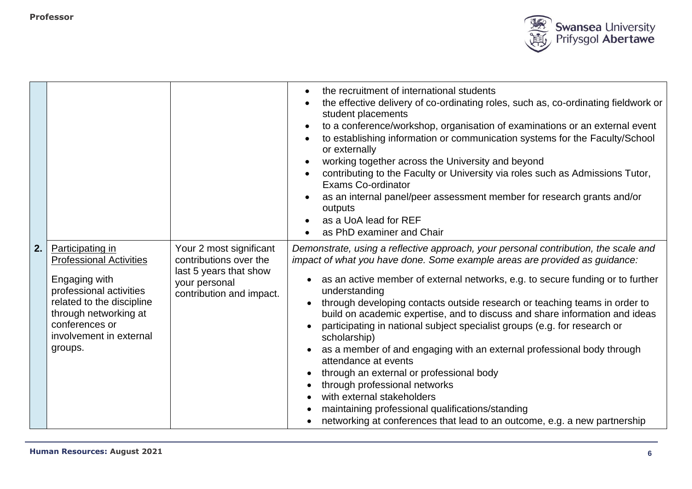

|    |                                                                                                                                                                                                              |                                                                                                                          | the recruitment of international students<br>the effective delivery of co-ordinating roles, such as, co-ordinating fieldwork or<br>student placements<br>to a conference/workshop, organisation of examinations or an external event<br>to establishing information or communication systems for the Faculty/School<br>or externally<br>working together across the University and beyond<br>contributing to the Faculty or University via roles such as Admissions Tutor,<br>Exams Co-ordinator<br>as an internal panel/peer assessment member for research grants and/or<br>outputs<br>as a UoA lead for REF<br>as PhD examiner and Chair                                                                                                                                                                                                                                  |
|----|--------------------------------------------------------------------------------------------------------------------------------------------------------------------------------------------------------------|--------------------------------------------------------------------------------------------------------------------------|------------------------------------------------------------------------------------------------------------------------------------------------------------------------------------------------------------------------------------------------------------------------------------------------------------------------------------------------------------------------------------------------------------------------------------------------------------------------------------------------------------------------------------------------------------------------------------------------------------------------------------------------------------------------------------------------------------------------------------------------------------------------------------------------------------------------------------------------------------------------------|
| 2. | Participating in<br><b>Professional Activities</b><br>Engaging with<br>professional activities<br>related to the discipline<br>through networking at<br>conferences or<br>involvement in external<br>groups. | Your 2 most significant<br>contributions over the<br>last 5 years that show<br>your personal<br>contribution and impact. | Demonstrate, using a reflective approach, your personal contribution, the scale and<br>impact of what you have done. Some example areas are provided as guidance:<br>as an active member of external networks, e.g. to secure funding or to further<br>understanding<br>through developing contacts outside research or teaching teams in order to<br>build on academic expertise, and to discuss and share information and ideas<br>participating in national subject specialist groups (e.g. for research or<br>scholarship)<br>as a member of and engaging with an external professional body through<br>attendance at events<br>through an external or professional body<br>through professional networks<br>with external stakeholders<br>maintaining professional qualifications/standing<br>networking at conferences that lead to an outcome, e.g. a new partnership |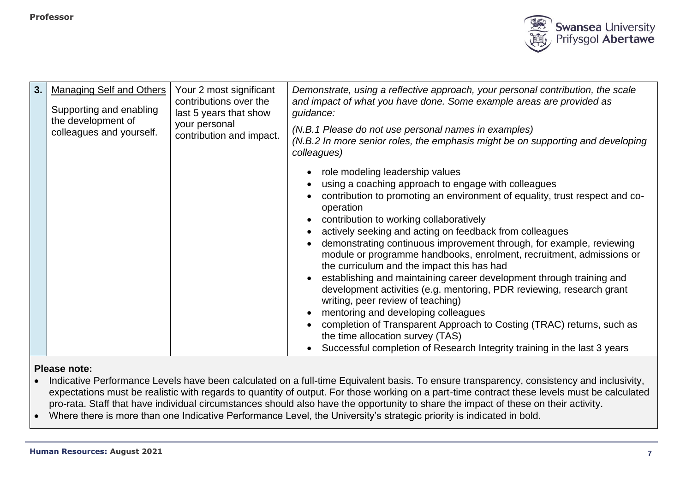

| 3. | <b>Managing Self and Others</b><br>Supporting and enabling<br>the development of<br>colleagues and yourself. | Your 2 most significant<br>contributions over the<br>last 5 years that show<br>your personal<br>contribution and impact. | Demonstrate, using a reflective approach, your personal contribution, the scale<br>and impact of what you have done. Some example areas are provided as<br>guidance:<br>(N.B.1 Please do not use personal names in examples)<br>(N.B.2 In more senior roles, the emphasis might be on supporting and developing<br>colleagues)<br>role modeling leadership values<br>using a coaching approach to engage with colleagues<br>contribution to promoting an environment of equality, trust respect and co-<br>operation<br>contribution to working collaboratively<br>$\bullet$<br>actively seeking and acting on feedback from colleagues<br>demonstrating continuous improvement through, for example, reviewing<br>module or programme handbooks, enrolment, recruitment, admissions or<br>the curriculum and the impact this has had<br>establishing and maintaining career development through training and<br>development activities (e.g. mentoring, PDR reviewing, research grant<br>writing, peer review of teaching)<br>mentoring and developing colleagues<br>completion of Transparent Approach to Costing (TRAC) returns, such as<br>the time allocation survey (TAS) |
|----|--------------------------------------------------------------------------------------------------------------|--------------------------------------------------------------------------------------------------------------------------|---------------------------------------------------------------------------------------------------------------------------------------------------------------------------------------------------------------------------------------------------------------------------------------------------------------------------------------------------------------------------------------------------------------------------------------------------------------------------------------------------------------------------------------------------------------------------------------------------------------------------------------------------------------------------------------------------------------------------------------------------------------------------------------------------------------------------------------------------------------------------------------------------------------------------------------------------------------------------------------------------------------------------------------------------------------------------------------------------------------------------------------------------------------------------------|
|    |                                                                                                              |                                                                                                                          | Successful completion of Research Integrity training in the last 3 years                                                                                                                                                                                                                                                                                                                                                                                                                                                                                                                                                                                                                                                                                                                                                                                                                                                                                                                                                                                                                                                                                                        |

- Indicative Performance Levels have been calculated on a full-time Equivalent basis. To ensure transparency, consistency and inclusivity, expectations must be realistic with regards to quantity of output. For those working on a part-time contract these levels must be calculated pro-rata. Staff that have individual circumstances should also have the opportunity to share the impact of these on their activity.
- Where there is more than one Indicative Performance Level, the University's strategic priority is indicated in bold.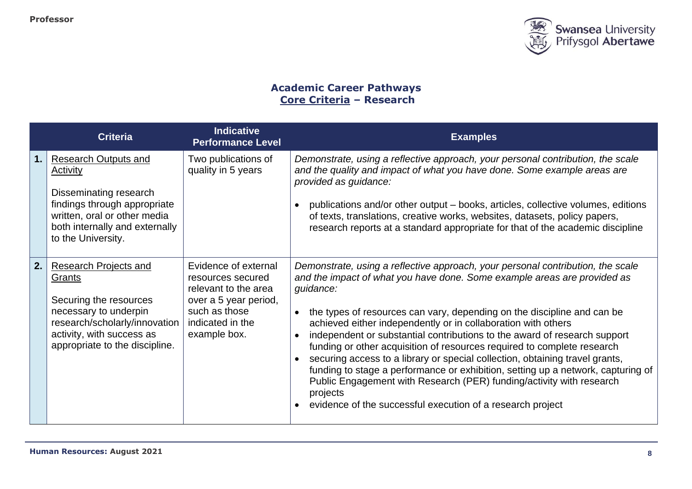

# **Academic Career Pathways Core Criteria – Research**

|     | <b>Criteria</b>                                                                                                                                                                           | <b>Indicative</b><br><b>Performance Level</b>                                                                                                   | <b>Examples</b>                                                                                                                                                                                                                                                                                                                                                                                                                                                                                                                                                                                                                                                                                                                                                                                                 |
|-----|-------------------------------------------------------------------------------------------------------------------------------------------------------------------------------------------|-------------------------------------------------------------------------------------------------------------------------------------------------|-----------------------------------------------------------------------------------------------------------------------------------------------------------------------------------------------------------------------------------------------------------------------------------------------------------------------------------------------------------------------------------------------------------------------------------------------------------------------------------------------------------------------------------------------------------------------------------------------------------------------------------------------------------------------------------------------------------------------------------------------------------------------------------------------------------------|
| 1.  | <b>Research Outputs and</b><br>Activity<br>Disseminating research<br>findings through appropriate<br>written, oral or other media<br>both internally and externally<br>to the University. | Two publications of<br>quality in 5 years                                                                                                       | Demonstrate, using a reflective approach, your personal contribution, the scale<br>and the quality and impact of what you have done. Some example areas are<br>provided as guidance:<br>publications and/or other output - books, articles, collective volumes, editions<br>of texts, translations, creative works, websites, datasets, policy papers,<br>research reports at a standard appropriate for that of the academic discipline                                                                                                                                                                                                                                                                                                                                                                        |
| 2.1 | <b>Research Projects and</b><br>Grants<br>Securing the resources<br>necessary to underpin<br>research/scholarly/innovation<br>activity, with success as<br>appropriate to the discipline. | Evidence of external<br>resources secured<br>relevant to the area<br>over a 5 year period,<br>such as those<br>indicated in the<br>example box. | Demonstrate, using a reflective approach, your personal contribution, the scale<br>and the impact of what you have done. Some example areas are provided as<br>guidance:<br>the types of resources can vary, depending on the discipline and can be<br>achieved either independently or in collaboration with others<br>independent or substantial contributions to the award of research support<br>funding or other acquisition of resources required to complete research<br>securing access to a library or special collection, obtaining travel grants,<br>$\bullet$<br>funding to stage a performance or exhibition, setting up a network, capturing of<br>Public Engagement with Research (PER) funding/activity with research<br>projects<br>evidence of the successful execution of a research project |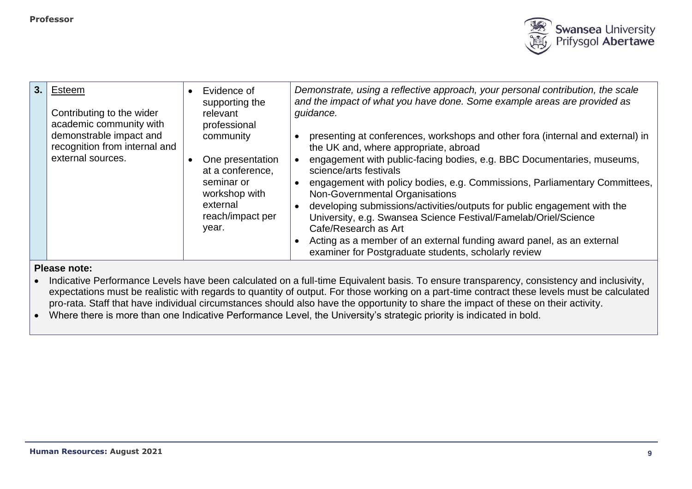

| 3.1 | Esteem<br>Contributing to the wider<br>academic community with                | Evidence of<br>supporting the<br>relevant<br>professional                                                                 | Demonstrate, using a reflective approach, your personal contribution, the scale<br>and the impact of what you have done. Some example areas are provided as<br>guidance.                                                                                                                                                                                                                                                                                                                                                                                                                                                                            |
|-----|-------------------------------------------------------------------------------|---------------------------------------------------------------------------------------------------------------------------|-----------------------------------------------------------------------------------------------------------------------------------------------------------------------------------------------------------------------------------------------------------------------------------------------------------------------------------------------------------------------------------------------------------------------------------------------------------------------------------------------------------------------------------------------------------------------------------------------------------------------------------------------------|
|     | demonstrable impact and<br>recognition from internal and<br>external sources. | community<br>One presentation<br>at a conference,<br>seminar or<br>workshop with<br>external<br>reach/impact per<br>year. | presenting at conferences, workshops and other fora (internal and external) in<br>the UK and, where appropriate, abroad<br>engagement with public-facing bodies, e.g. BBC Documentaries, museums,<br>science/arts festivals<br>engagement with policy bodies, e.g. Commissions, Parliamentary Committees,<br>Non-Governmental Organisations<br>developing submissions/activities/outputs for public engagement with the<br>University, e.g. Swansea Science Festival/Famelab/Oriel/Science<br>Cafe/Research as Art<br>Acting as a member of an external funding award panel, as an external<br>examiner for Postgraduate students, scholarly review |

- Indicative Performance Levels have been calculated on a full-time Equivalent basis. To ensure transparency, consistency and inclusivity, expectations must be realistic with regards to quantity of output. For those working on a part-time contract these levels must be calculated pro-rata. Staff that have individual circumstances should also have the opportunity to share the impact of these on their activity.
- Where there is more than one Indicative Performance Level, the University's strategic priority is indicated in bold.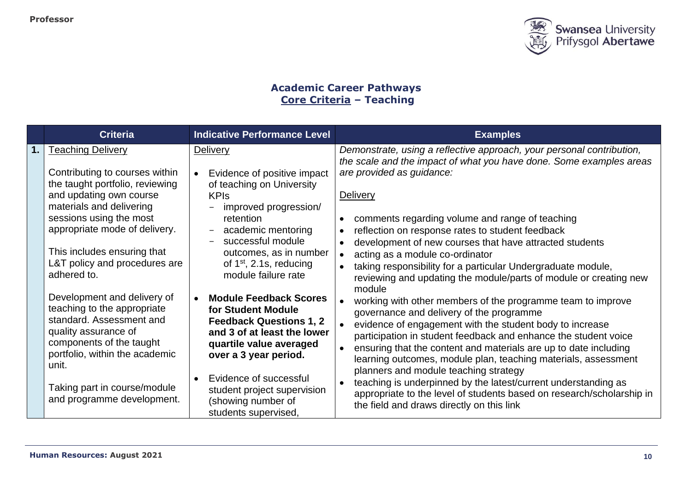

# **Academic Career Pathways Core Criteria – Teaching**

|    | <b>Criteria</b>                                                                                                                                                                                                                                                                                 | <b>Indicative Performance Level</b>                                                                                                                                                                                                                                             | <b>Examples</b>                                                                                                                                                                                                                                                                                                                                                                                                                                                                                                                                                                                                         |
|----|-------------------------------------------------------------------------------------------------------------------------------------------------------------------------------------------------------------------------------------------------------------------------------------------------|---------------------------------------------------------------------------------------------------------------------------------------------------------------------------------------------------------------------------------------------------------------------------------|-------------------------------------------------------------------------------------------------------------------------------------------------------------------------------------------------------------------------------------------------------------------------------------------------------------------------------------------------------------------------------------------------------------------------------------------------------------------------------------------------------------------------------------------------------------------------------------------------------------------------|
| 1. | <b>Teaching Delivery</b><br>Contributing to courses within<br>the taught portfolio, reviewing<br>and updating own course<br>materials and delivering<br>sessions using the most<br>appropriate mode of delivery.<br>This includes ensuring that<br>L&T policy and procedures are<br>adhered to. | <b>Delivery</b><br>Evidence of positive impact<br>of teaching on University<br><b>KPIs</b><br>improved progression/<br>retention<br>academic mentoring<br>$\equiv$<br>successful module<br>outcomes, as in number<br>of $1st$ , 2.1s, reducing<br>module failure rate           | Demonstrate, using a reflective approach, your personal contribution,<br>the scale and the impact of what you have done. Some examples areas<br>are provided as guidance:<br><b>Delivery</b><br>comments regarding volume and range of teaching<br>reflection on response rates to student feedback<br>development of new courses that have attracted students<br>acting as a module co-ordinator<br>taking responsibility for a particular Undergraduate module,<br>reviewing and updating the module/parts of module or creating new                                                                                  |
|    | Development and delivery of<br>teaching to the appropriate<br>standard. Assessment and<br>quality assurance of<br>components of the taught<br>portfolio, within the academic<br>unit.<br>Taking part in course/module<br>and programme development.                                             | <b>Module Feedback Scores</b><br>for Student Module<br><b>Feedback Questions 1, 2</b><br>and 3 of at least the lower<br>quartile value averaged<br>over a 3 year period.<br>Evidence of successful<br>student project supervision<br>(showing number of<br>students supervised, | module<br>working with other members of the programme team to improve<br>governance and delivery of the programme<br>evidence of engagement with the student body to increase<br>participation in student feedback and enhance the student voice<br>ensuring that the content and materials are up to date including<br>learning outcomes, module plan, teaching materials, assessment<br>planners and module teaching strategy<br>teaching is underpinned by the latest/current understanding as<br>appropriate to the level of students based on research/scholarship in<br>the field and draws directly on this link |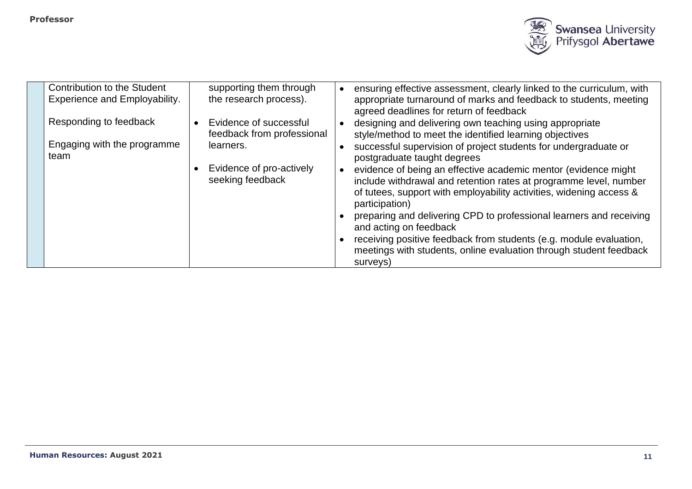

| Contribution to the Student<br><b>Experience and Employability.</b> | supporting them through<br>the research process).    | ensuring effective assessment, clearly linked to the curriculum, with<br>appropriate turnaround of marks and feedback to students, meeting<br>agreed deadlines for return of feedback                                        |
|---------------------------------------------------------------------|------------------------------------------------------|------------------------------------------------------------------------------------------------------------------------------------------------------------------------------------------------------------------------------|
| Responding to feedback                                              | Evidence of successful<br>feedback from professional | designing and delivering own teaching using appropriate<br>style/method to meet the identified learning objectives                                                                                                           |
| Engaging with the programme<br>team                                 | learners.                                            | successful supervision of project students for undergraduate or<br>postgraduate taught degrees                                                                                                                               |
|                                                                     | Evidence of pro-actively<br>seeking feedback         | evidence of being an effective academic mentor (evidence might<br>include withdrawal and retention rates at programme level, number<br>of tutees, support with employability activities, widening access &<br>participation) |
|                                                                     |                                                      | preparing and delivering CPD to professional learners and receiving<br>and acting on feedback                                                                                                                                |
|                                                                     |                                                      | receiving positive feedback from students (e.g. module evaluation,<br>meetings with students, online evaluation through student feedback<br>surveys)                                                                         |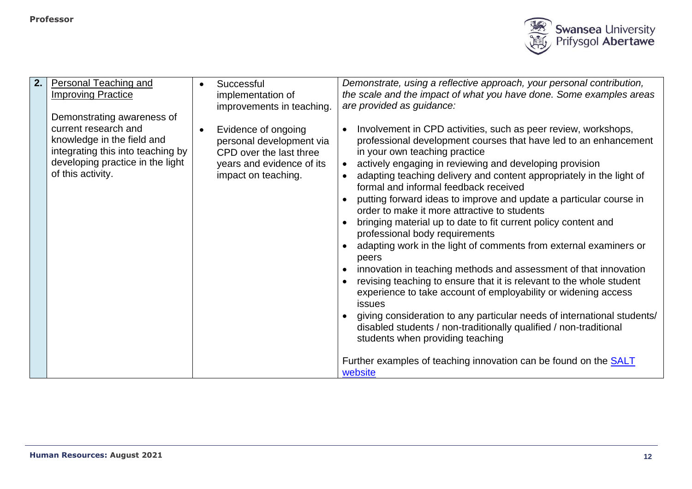

| 2. | <b>Personal Teaching and</b>      | Successful                | Demonstrate, using a reflective approach, your personal contribution,                                         |
|----|-----------------------------------|---------------------------|---------------------------------------------------------------------------------------------------------------|
|    | <b>Improving Practice</b>         | implementation of         | the scale and the impact of what you have done. Some examples areas                                           |
|    |                                   | improvements in teaching. | are provided as guidance:                                                                                     |
|    | Demonstrating awareness of        |                           |                                                                                                               |
|    | current research and              | Evidence of ongoing       | Involvement in CPD activities, such as peer review, workshops,                                                |
|    | knowledge in the field and        | personal development via  | professional development courses that have led to an enhancement                                              |
|    | integrating this into teaching by | CPD over the last three   | in your own teaching practice                                                                                 |
|    | developing practice in the light  | years and evidence of its | actively engaging in reviewing and developing provision                                                       |
|    | of this activity.                 | impact on teaching.       | adapting teaching delivery and content appropriately in the light of<br>formal and informal feedback received |
|    |                                   |                           | putting forward ideas to improve and update a particular course in                                            |
|    |                                   |                           | order to make it more attractive to students                                                                  |
|    |                                   |                           | bringing material up to date to fit current policy content and<br>professional body requirements              |
|    |                                   |                           | adapting work in the light of comments from external examiners or<br>peers                                    |
|    |                                   |                           | innovation in teaching methods and assessment of that innovation                                              |
|    |                                   |                           | revising teaching to ensure that it is relevant to the whole student                                          |
|    |                                   |                           | experience to take account of employability or widening access                                                |
|    |                                   |                           | issues                                                                                                        |
|    |                                   |                           | giving consideration to any particular needs of international students/                                       |
|    |                                   |                           | disabled students / non-traditionally qualified / non-traditional                                             |
|    |                                   |                           | students when providing teaching                                                                              |
|    |                                   |                           |                                                                                                               |
|    |                                   |                           | Further examples of teaching innovation can be found on the <b>SALT</b><br>website                            |
|    |                                   |                           |                                                                                                               |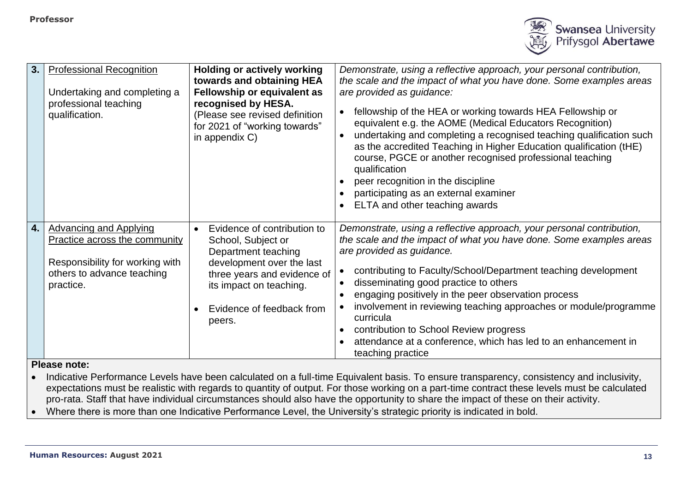

| 3. | <b>Professional Recognition</b><br>Undertaking and completing a<br>professional teaching<br>qualification.                                          | <b>Holding or actively working</b><br>towards and obtaining HEA<br>Fellowship or equivalent as<br>recognised by HESA.<br>(Please see revised definition<br>for 2021 of "working towards"<br>in appendix C) | Demonstrate, using a reflective approach, your personal contribution,<br>the scale and the impact of what you have done. Some examples areas<br>are provided as guidance:<br>fellowship of the HEA or working towards HEA Fellowship or<br>equivalent e.g. the AOME (Medical Educators Recognition)<br>undertaking and completing a recognised teaching qualification such<br>as the accredited Teaching in Higher Education qualification (tHE)<br>course, PGCE or another recognised professional teaching<br>qualification<br>peer recognition in the discipline<br>participating as an external examiner<br>ELTA and other teaching awards |
|----|-----------------------------------------------------------------------------------------------------------------------------------------------------|------------------------------------------------------------------------------------------------------------------------------------------------------------------------------------------------------------|------------------------------------------------------------------------------------------------------------------------------------------------------------------------------------------------------------------------------------------------------------------------------------------------------------------------------------------------------------------------------------------------------------------------------------------------------------------------------------------------------------------------------------------------------------------------------------------------------------------------------------------------|
| 4. | <b>Advancing and Applying</b><br><b>Practice across the community</b><br>Responsibility for working with<br>others to advance teaching<br>practice. | Evidence of contribution to<br>School, Subject or<br>Department teaching<br>development over the last<br>three years and evidence of<br>its impact on teaching.<br>Evidence of feedback from<br>peers.     | Demonstrate, using a reflective approach, your personal contribution,<br>the scale and the impact of what you have done. Some examples areas<br>are provided as guidance.<br>contributing to Faculty/School/Department teaching development<br>disseminating good practice to others<br>engaging positively in the peer observation process<br>involvement in reviewing teaching approaches or module/programme<br>curricula<br>contribution to School Review progress<br>attendance at a conference, which has led to an enhancement in<br>teaching practice                                                                                  |
|    | Dlogge neter                                                                                                                                        |                                                                                                                                                                                                            |                                                                                                                                                                                                                                                                                                                                                                                                                                                                                                                                                                                                                                                |

• Indicative Performance Levels have been calculated on a full-time Equivalent basis. To ensure transparency, consistency and inclusivity, expectations must be realistic with regards to quantity of output. For those working on a part-time contract these levels must be calculated pro-rata. Staff that have individual circumstances should also have the opportunity to share the impact of these on their activity.

• Where there is more than one Indicative Performance Level, the University's strategic priority is indicated in bold.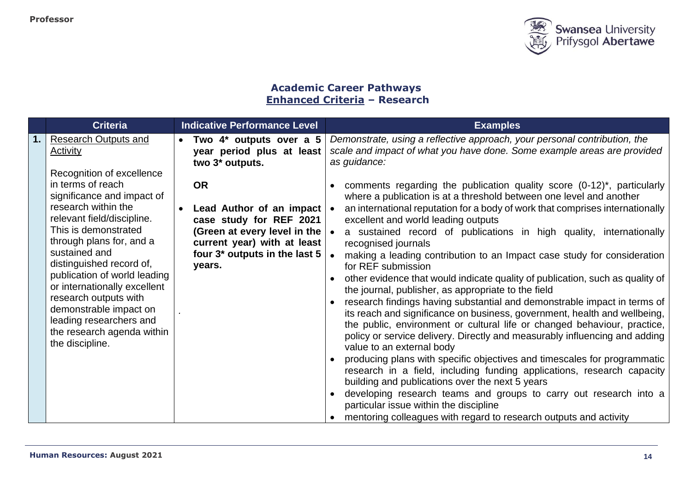

# **Academic Career Pathways Enhanced Criteria – Research**

| <b>Criteria</b>                                                                                                                                                                                                                                                                                                                                   | <b>Indicative Performance Level</b>                                                                                                                                                                      | <b>Examples</b>                                                                                                                                                                                                                                                                                                                                                                                                                                                                                                                                                                                                                                                                                                                                                                                                                                                                                                                                                                                                                                                                                                                                                                                          |
|---------------------------------------------------------------------------------------------------------------------------------------------------------------------------------------------------------------------------------------------------------------------------------------------------------------------------------------------------|----------------------------------------------------------------------------------------------------------------------------------------------------------------------------------------------------------|----------------------------------------------------------------------------------------------------------------------------------------------------------------------------------------------------------------------------------------------------------------------------------------------------------------------------------------------------------------------------------------------------------------------------------------------------------------------------------------------------------------------------------------------------------------------------------------------------------------------------------------------------------------------------------------------------------------------------------------------------------------------------------------------------------------------------------------------------------------------------------------------------------------------------------------------------------------------------------------------------------------------------------------------------------------------------------------------------------------------------------------------------------------------------------------------------------|
| <b>Research Outputs and</b><br><b>Activity</b><br>Recognition of excellence<br>in terms of reach<br>significance and impact of                                                                                                                                                                                                                    | Two 4* outputs over a 5<br>$\bullet$<br>year period plus at least<br>two 3 <sup>*</sup> outputs.<br><b>OR</b>                                                                                            | Demonstrate, using a reflective approach, your personal contribution, the<br>scale and impact of what you have done. Some example areas are provided<br>as guidance:<br>comments regarding the publication quality score $(0-12)^*$ , particularly<br>where a publication is at a threshold between one level and another                                                                                                                                                                                                                                                                                                                                                                                                                                                                                                                                                                                                                                                                                                                                                                                                                                                                                |
| research within the<br>relevant field/discipline.<br>This is demonstrated<br>through plans for, and a<br>sustained and<br>distinguished record of,<br>publication of world leading<br>or internationally excellent<br>research outputs with<br>demonstrable impact on<br>leading researchers and<br>the research agenda within<br>the discipline. | Lead Author of an impact $\cdot$<br>$\bullet$<br>case study for REF 2021<br>(Green at every level in the $\vert \bullet \vert$<br>current year) with at least<br>four 3* outputs in the last 5<br>years. | an international reputation for a body of work that comprises internationally<br>excellent and world leading outputs<br>a sustained record of publications in high quality, internationally<br>recognised journals<br>making a leading contribution to an Impact case study for consideration<br>for REF submission<br>other evidence that would indicate quality of publication, such as quality of<br>the journal, publisher, as appropriate to the field<br>research findings having substantial and demonstrable impact in terms of<br>its reach and significance on business, government, health and wellbeing,<br>the public, environment or cultural life or changed behaviour, practice,<br>policy or service delivery. Directly and measurably influencing and adding<br>value to an external body<br>producing plans with specific objectives and timescales for programmatic<br>research in a field, including funding applications, research capacity<br>building and publications over the next 5 years<br>developing research teams and groups to carry out research into a<br>particular issue within the discipline<br>mentoring colleagues with regard to research outputs and activity |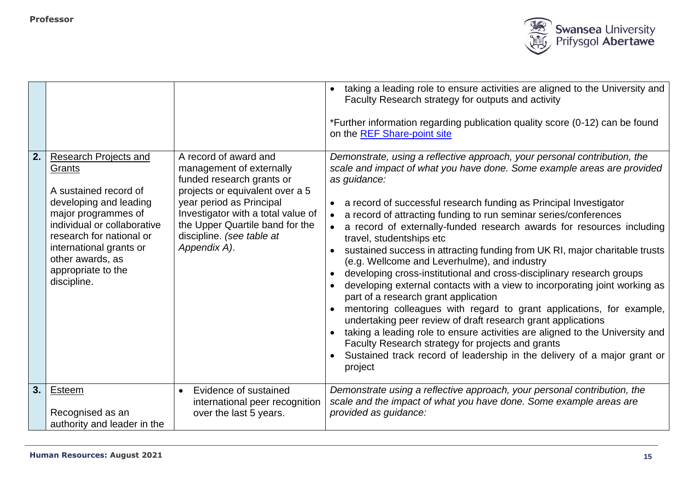

| 2. | <b>Research Projects and</b>                                                                                                                                                                                                    | A record of award and                                                                                                                                                                                                                      | taking a leading role to ensure activities are aligned to the University and<br>Faculty Research strategy for outputs and activity<br>*Further information regarding publication quality score (0-12) can be found<br>on the REF Share-point site                                                                                                                                                                                                                                                                                                                                                                                                                                                                                                                                                                                                                                                                                                                                                                                                                                                                    |
|----|---------------------------------------------------------------------------------------------------------------------------------------------------------------------------------------------------------------------------------|--------------------------------------------------------------------------------------------------------------------------------------------------------------------------------------------------------------------------------------------|----------------------------------------------------------------------------------------------------------------------------------------------------------------------------------------------------------------------------------------------------------------------------------------------------------------------------------------------------------------------------------------------------------------------------------------------------------------------------------------------------------------------------------------------------------------------------------------------------------------------------------------------------------------------------------------------------------------------------------------------------------------------------------------------------------------------------------------------------------------------------------------------------------------------------------------------------------------------------------------------------------------------------------------------------------------------------------------------------------------------|
|    | Grants<br>A sustained record of<br>developing and leading<br>major programmes of<br>individual or collaborative<br>research for national or<br>international grants or<br>other awards, as<br>appropriate to the<br>discipline. | management of externally<br>funded research grants or<br>projects or equivalent over a 5<br>year period as Principal<br>Investigator with a total value of<br>the Upper Quartile band for the<br>discipline. (see table at<br>Appendix A). | Demonstrate, using a reflective approach, your personal contribution, the<br>scale and impact of what you have done. Some example areas are provided<br>as guidance:<br>a record of successful research funding as Principal Investigator<br>a record of attracting funding to run seminar series/conferences<br>a record of externally-funded research awards for resources including<br>travel, studentships etc<br>sustained success in attracting funding from UK RI, major charitable trusts<br>(e.g. Wellcome and Leverhulme), and industry<br>developing cross-institutional and cross-disciplinary research groups<br>developing external contacts with a view to incorporating joint working as<br>part of a research grant application<br>mentoring colleagues with regard to grant applications, for example,<br>undertaking peer review of draft research grant applications<br>taking a leading role to ensure activities are aligned to the University and<br>Faculty Research strategy for projects and grants<br>Sustained track record of leadership in the delivery of a major grant or<br>project |
| 3. | Esteem<br>Recognised as an<br>authority and leader in the                                                                                                                                                                       | Evidence of sustained<br>$\bullet$<br>international peer recognition<br>over the last 5 years.                                                                                                                                             | Demonstrate using a reflective approach, your personal contribution, the<br>scale and the impact of what you have done. Some example areas are<br>provided as guidance:                                                                                                                                                                                                                                                                                                                                                                                                                                                                                                                                                                                                                                                                                                                                                                                                                                                                                                                                              |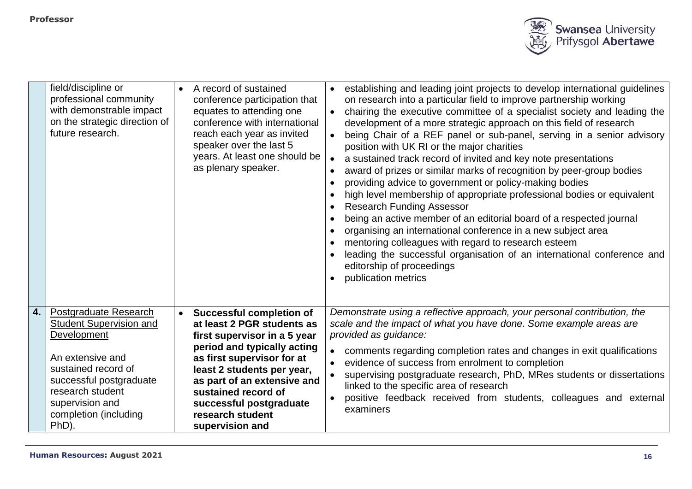

|                  | field/discipline or<br>professional community<br>with demonstrable impact<br>on the strategic direction of<br>future research.                                                                                 | A record of sustained<br>conference participation that<br>equates to attending one<br>conference with international<br>reach each year as invited<br>speaker over the last 5<br>years. At least one should be<br>as plenary speaker.                                                                             | establishing and leading joint projects to develop international guidelines<br>on research into a particular field to improve partnership working<br>chairing the executive committee of a specialist society and leading the<br>development of a more strategic approach on this field of research<br>being Chair of a REF panel or sub-panel, serving in a senior advisory<br>position with UK RI or the major charities<br>a sustained track record of invited and key note presentations<br>award of prizes or similar marks of recognition by peer-group bodies<br>providing advice to government or policy-making bodies<br>high level membership of appropriate professional bodies or equivalent<br><b>Research Funding Assessor</b><br>being an active member of an editorial board of a respected journal<br>organising an international conference in a new subject area<br>mentoring colleagues with regard to research esteem<br>leading the successful organisation of an international conference and<br>editorship of proceedings<br>publication metrics |
|------------------|----------------------------------------------------------------------------------------------------------------------------------------------------------------------------------------------------------------|------------------------------------------------------------------------------------------------------------------------------------------------------------------------------------------------------------------------------------------------------------------------------------------------------------------|--------------------------------------------------------------------------------------------------------------------------------------------------------------------------------------------------------------------------------------------------------------------------------------------------------------------------------------------------------------------------------------------------------------------------------------------------------------------------------------------------------------------------------------------------------------------------------------------------------------------------------------------------------------------------------------------------------------------------------------------------------------------------------------------------------------------------------------------------------------------------------------------------------------------------------------------------------------------------------------------------------------------------------------------------------------------------|
| $\overline{4}$ . | Postgraduate Research<br>Student Supervision and<br>Development<br>An extensive and<br>sustained record of<br>successful postgraduate<br>research student<br>supervision and<br>completion (including<br>PhD). | <b>Successful completion of</b><br>at least 2 PGR students as<br>first supervisor in a 5 year<br>period and typically acting<br>as first supervisor for at<br>least 2 students per year,<br>as part of an extensive and<br>sustained record of<br>successful postgraduate<br>research student<br>supervision and | Demonstrate using a reflective approach, your personal contribution, the<br>scale and the impact of what you have done. Some example areas are<br>provided as guidance:<br>comments regarding completion rates and changes in exit qualifications<br>evidence of success from enrolment to completion<br>supervising postgraduate research, PhD, MRes students or dissertations<br>linked to the specific area of research<br>positive feedback received from students, colleagues and external<br>examiners                                                                                                                                                                                                                                                                                                                                                                                                                                                                                                                                                             |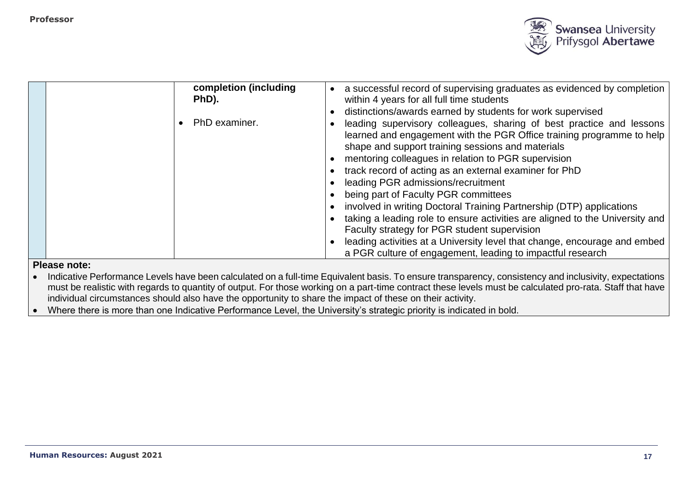

| completion (including | a successful record of supervising graduates as evidenced by completion      |
|-----------------------|------------------------------------------------------------------------------|
| PhD).                 | within 4 years for all full time students                                    |
|                       | distinctions/awards earned by students for work supervised                   |
| PhD examiner.         | leading supervisory colleagues, sharing of best practice and lessons         |
|                       | learned and engagement with the PGR Office training programme to help        |
|                       | shape and support training sessions and materials                            |
|                       | mentoring colleagues in relation to PGR supervision                          |
|                       | track record of acting as an external examiner for PhD                       |
|                       | leading PGR admissions/recruitment                                           |
|                       | being part of Faculty PGR committees                                         |
|                       | involved in writing Doctoral Training Partnership (DTP) applications         |
|                       | taking a leading role to ensure activities are aligned to the University and |
|                       | Faculty strategy for PGR student supervision                                 |
|                       | leading activities at a University level that change, encourage and embed    |
|                       | a PGR culture of engagement, leading to impactful research                   |

• Indicative Performance Levels have been calculated on a full-time Equivalent basis. To ensure transparency, consistency and inclusivity, expectations must be realistic with regards to quantity of output. For those working on a part-time contract these levels must be calculated pro-rata. Staff that have individual circumstances should also have the opportunity to share the impact of these on their activity.

• Where there is more than one Indicative Performance Level, the University's strategic priority is indicated in bold.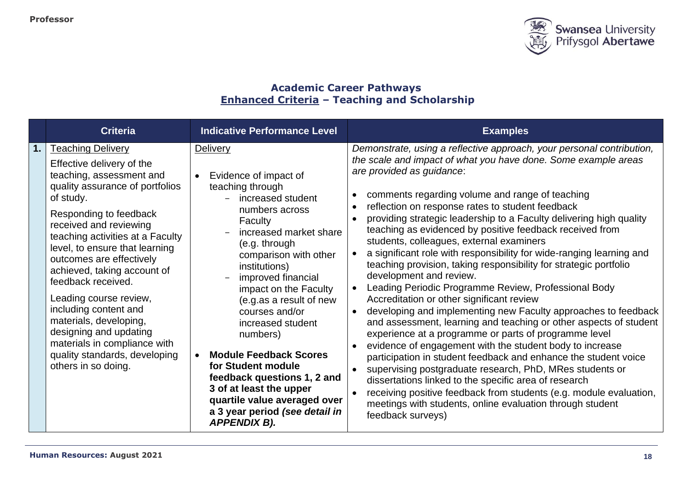

# **Academic Career Pathways Enhanced Criteria – Teaching and Scholarship**

|               | <b>Criteria</b>                                                                                                                                                                                                                                                                                                                                                                                                                                                                                                                             | <b>Indicative Performance Level</b>                                                                                                                                                                                                                                                                                                                                                                                                                                                                                                                     | <b>Examples</b>                                                                                                                                                                                                                                                                                                                                                                                                                                                                                                                                                                                                                                                                                                                                                                                                                                                                                                                                                                                                                                                                                                                                                                                                                                                                                                                                     |
|---------------|---------------------------------------------------------------------------------------------------------------------------------------------------------------------------------------------------------------------------------------------------------------------------------------------------------------------------------------------------------------------------------------------------------------------------------------------------------------------------------------------------------------------------------------------|---------------------------------------------------------------------------------------------------------------------------------------------------------------------------------------------------------------------------------------------------------------------------------------------------------------------------------------------------------------------------------------------------------------------------------------------------------------------------------------------------------------------------------------------------------|-----------------------------------------------------------------------------------------------------------------------------------------------------------------------------------------------------------------------------------------------------------------------------------------------------------------------------------------------------------------------------------------------------------------------------------------------------------------------------------------------------------------------------------------------------------------------------------------------------------------------------------------------------------------------------------------------------------------------------------------------------------------------------------------------------------------------------------------------------------------------------------------------------------------------------------------------------------------------------------------------------------------------------------------------------------------------------------------------------------------------------------------------------------------------------------------------------------------------------------------------------------------------------------------------------------------------------------------------------|
| $\mathbf 1$ . | <b>Teaching Delivery</b><br>Effective delivery of the<br>teaching, assessment and<br>quality assurance of portfolios<br>of study.<br>Responding to feedback<br>received and reviewing<br>teaching activities at a Faculty<br>level, to ensure that learning<br>outcomes are effectively<br>achieved, taking account of<br>feedback received.<br>Leading course review,<br>including content and<br>materials, developing,<br>designing and updating<br>materials in compliance with<br>quality standards, developing<br>others in so doing. | <b>Delivery</b><br>Evidence of impact of<br>$\bullet$<br>teaching through<br>increased student<br>numbers across<br><b>Faculty</b><br>increased market share<br>(e.g. through<br>comparison with other<br>institutions)<br>improved financial<br>impact on the Faculty<br>(e.g.as a result of new<br>courses and/or<br>increased student<br>numbers)<br><b>Module Feedback Scores</b><br>for Student module<br>feedback questions 1, 2 and<br>3 of at least the upper<br>quartile value averaged over<br>a 3 year period (see detail in<br>APPENDIX B). | Demonstrate, using a reflective approach, your personal contribution,<br>the scale and impact of what you have done. Some example areas<br>are provided as guidance:<br>comments regarding volume and range of teaching<br>reflection on response rates to student feedback<br>providing strategic leadership to a Faculty delivering high quality<br>teaching as evidenced by positive feedback received from<br>students, colleagues, external examiners<br>a significant role with responsibility for wide-ranging learning and<br>teaching provision, taking responsibility for strategic portfolio<br>development and review.<br>Leading Periodic Programme Review, Professional Body<br>Accreditation or other significant review<br>developing and implementing new Faculty approaches to feedback<br>and assessment, learning and teaching or other aspects of student<br>experience at a programme or parts of programme level<br>evidence of engagement with the student body to increase<br>participation in student feedback and enhance the student voice<br>supervising postgraduate research, PhD, MRes students or<br>dissertations linked to the specific area of research<br>receiving positive feedback from students (e.g. module evaluation,<br>meetings with students, online evaluation through student<br>feedback surveys) |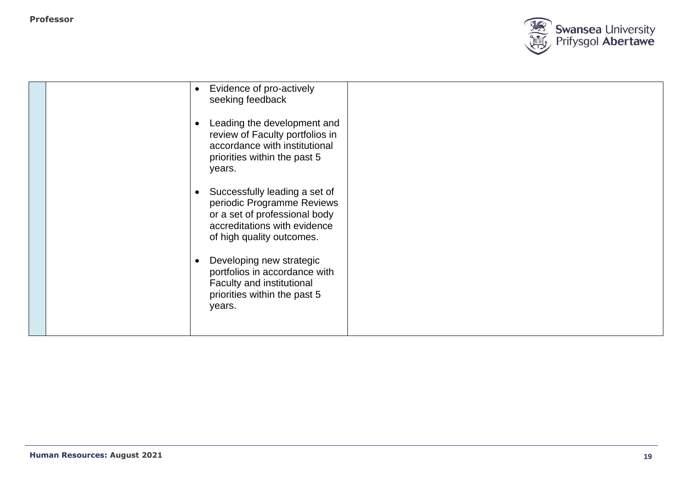

|  | Evidence of pro-actively<br>$\bullet$<br>seeking feedback<br>Leading the development and<br>$\bullet$<br>review of Faculty portfolios in<br>accordance with institutional<br>priorities within the past 5<br>years. |  |
|--|---------------------------------------------------------------------------------------------------------------------------------------------------------------------------------------------------------------------|--|
|  | Successfully leading a set of<br>$\bullet$<br>periodic Programme Reviews<br>or a set of professional body<br>accreditations with evidence<br>of high quality outcomes.                                              |  |
|  | Developing new strategic<br>portfolios in accordance with<br>Faculty and institutional<br>priorities within the past 5<br>years.                                                                                    |  |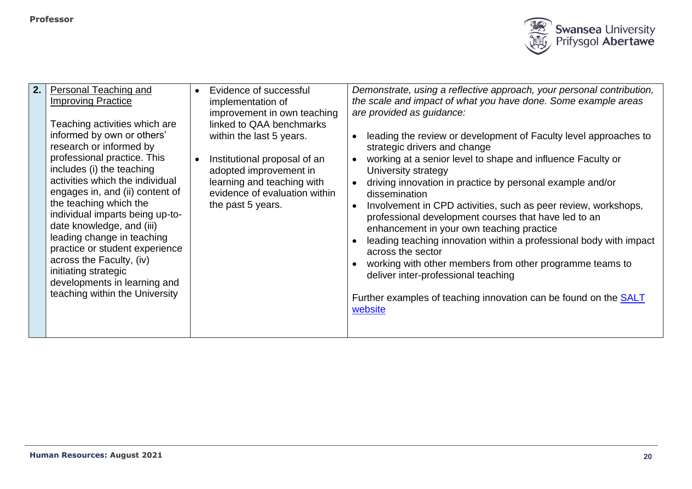

| 2. | Personal Teaching and<br><b>Improving Practice</b><br>Teaching activities which are<br>informed by own or others'<br>research or informed by<br>professional practice. This<br>includes (i) the teaching<br>activities which the individual<br>engages in, and (ii) content of<br>the teaching which the<br>individual imparts being up-to-<br>date knowledge, and (iii)<br>leading change in teaching<br>practice or student experience<br>across the Faculty, (iv)<br>initiating strategic<br>developments in learning and<br>teaching within the University |  | Evidence of successful<br>implementation of<br>improvement in own teaching<br>linked to QAA benchmarks<br>within the last 5 years.<br>Institutional proposal of an<br>adopted improvement in<br>learning and teaching with<br>evidence of evaluation within<br>the past 5 years. | $\bullet$<br>$\bullet$ | Demonstrate, using a reflective approach, your personal contribution,<br>the scale and impact of what you have done. Some example areas<br>are provided as guidance:<br>leading the review or development of Faculty level approaches to<br>strategic drivers and change<br>working at a senior level to shape and influence Faculty or<br>University strategy<br>driving innovation in practice by personal example and/or<br>dissemination<br>Involvement in CPD activities, such as peer review, workshops,<br>professional development courses that have led to an<br>enhancement in your own teaching practice<br>leading teaching innovation within a professional body with impact<br>across the sector<br>working with other members from other programme teams to<br>deliver inter-professional teaching<br>Further examples of teaching innovation can be found on the <b>SALT</b><br>website |
|----|----------------------------------------------------------------------------------------------------------------------------------------------------------------------------------------------------------------------------------------------------------------------------------------------------------------------------------------------------------------------------------------------------------------------------------------------------------------------------------------------------------------------------------------------------------------|--|----------------------------------------------------------------------------------------------------------------------------------------------------------------------------------------------------------------------------------------------------------------------------------|------------------------|---------------------------------------------------------------------------------------------------------------------------------------------------------------------------------------------------------------------------------------------------------------------------------------------------------------------------------------------------------------------------------------------------------------------------------------------------------------------------------------------------------------------------------------------------------------------------------------------------------------------------------------------------------------------------------------------------------------------------------------------------------------------------------------------------------------------------------------------------------------------------------------------------------|
|----|----------------------------------------------------------------------------------------------------------------------------------------------------------------------------------------------------------------------------------------------------------------------------------------------------------------------------------------------------------------------------------------------------------------------------------------------------------------------------------------------------------------------------------------------------------------|--|----------------------------------------------------------------------------------------------------------------------------------------------------------------------------------------------------------------------------------------------------------------------------------|------------------------|---------------------------------------------------------------------------------------------------------------------------------------------------------------------------------------------------------------------------------------------------------------------------------------------------------------------------------------------------------------------------------------------------------------------------------------------------------------------------------------------------------------------------------------------------------------------------------------------------------------------------------------------------------------------------------------------------------------------------------------------------------------------------------------------------------------------------------------------------------------------------------------------------------|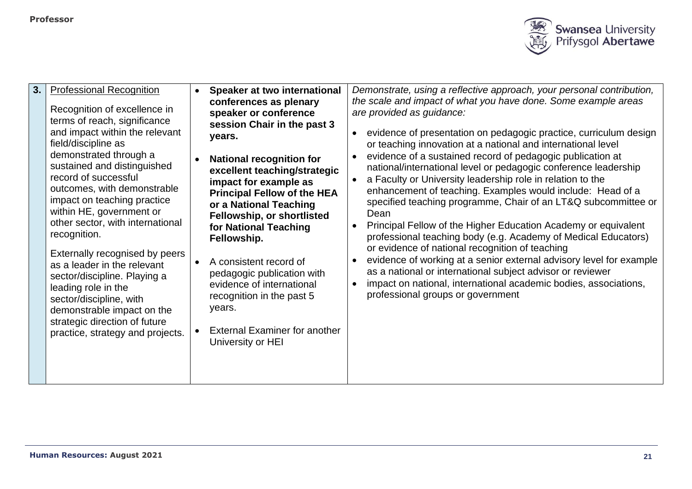

| 3. | <b>Professional Recognition</b><br>Recognition of excellence in<br>terms of reach, significance<br>and impact within the relevant<br>field/discipline as<br>demonstrated through a<br>sustained and distinguished<br>record of successful<br>outcomes, with demonstrable<br>impact on teaching practice<br>within HE, government or<br>other sector, with international<br>recognition.<br>Externally recognised by peers<br>as a leader in the relevant<br>sector/discipline. Playing a<br>leading role in the<br>sector/discipline, with<br>demonstrable impact on the<br>strategic direction of future<br>practice, strategy and projects. | $\bullet$ | Speaker at two international<br>conferences as plenary<br>speaker or conference<br>session Chair in the past 3<br>years.<br><b>National recognition for</b><br>excellent teaching/strategic<br>impact for example as<br><b>Principal Fellow of the HEA</b><br>or a National Teaching<br>Fellowship, or shortlisted<br>for National Teaching<br>Fellowship.<br>A consistent record of<br>pedagogic publication with<br>evidence of international<br>recognition in the past 5<br>years.<br><b>External Examiner for another</b><br>University or HEI | $\bullet$<br>$\bullet$<br>$\bullet$<br>$\bullet$ | Demonstrate, using a reflective approach, your personal contribution,<br>the scale and impact of what you have done. Some example areas<br>are provided as guidance:<br>evidence of presentation on pedagogic practice, curriculum design<br>or teaching innovation at a national and international level<br>evidence of a sustained record of pedagogic publication at<br>national/international level or pedagogic conference leadership<br>a Faculty or University leadership role in relation to the<br>enhancement of teaching. Examples would include: Head of a<br>specified teaching programme, Chair of an LT&Q subcommittee or<br>Dean<br>Principal Fellow of the Higher Education Academy or equivalent<br>professional teaching body (e.g. Academy of Medical Educators)<br>or evidence of national recognition of teaching<br>evidence of working at a senior external advisory level for example<br>as a national or international subject advisor or reviewer<br>impact on national, international academic bodies, associations,<br>professional groups or government |
|----|-----------------------------------------------------------------------------------------------------------------------------------------------------------------------------------------------------------------------------------------------------------------------------------------------------------------------------------------------------------------------------------------------------------------------------------------------------------------------------------------------------------------------------------------------------------------------------------------------------------------------------------------------|-----------|-----------------------------------------------------------------------------------------------------------------------------------------------------------------------------------------------------------------------------------------------------------------------------------------------------------------------------------------------------------------------------------------------------------------------------------------------------------------------------------------------------------------------------------------------------|--------------------------------------------------|---------------------------------------------------------------------------------------------------------------------------------------------------------------------------------------------------------------------------------------------------------------------------------------------------------------------------------------------------------------------------------------------------------------------------------------------------------------------------------------------------------------------------------------------------------------------------------------------------------------------------------------------------------------------------------------------------------------------------------------------------------------------------------------------------------------------------------------------------------------------------------------------------------------------------------------------------------------------------------------------------------------------------------------------------------------------------------------|
|----|-----------------------------------------------------------------------------------------------------------------------------------------------------------------------------------------------------------------------------------------------------------------------------------------------------------------------------------------------------------------------------------------------------------------------------------------------------------------------------------------------------------------------------------------------------------------------------------------------------------------------------------------------|-----------|-----------------------------------------------------------------------------------------------------------------------------------------------------------------------------------------------------------------------------------------------------------------------------------------------------------------------------------------------------------------------------------------------------------------------------------------------------------------------------------------------------------------------------------------------------|--------------------------------------------------|---------------------------------------------------------------------------------------------------------------------------------------------------------------------------------------------------------------------------------------------------------------------------------------------------------------------------------------------------------------------------------------------------------------------------------------------------------------------------------------------------------------------------------------------------------------------------------------------------------------------------------------------------------------------------------------------------------------------------------------------------------------------------------------------------------------------------------------------------------------------------------------------------------------------------------------------------------------------------------------------------------------------------------------------------------------------------------------|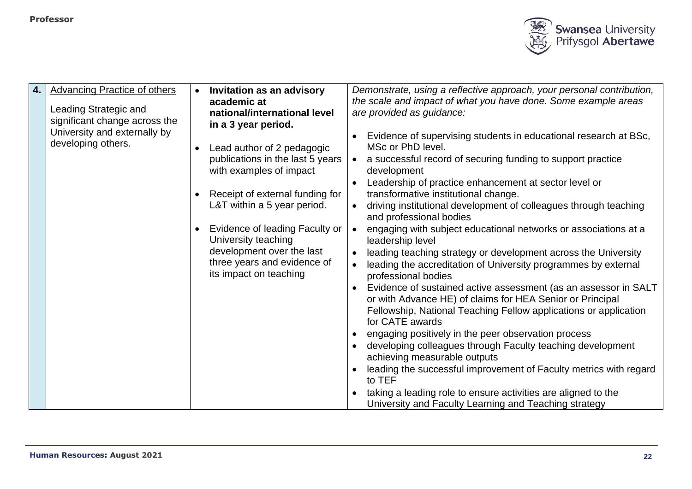

| 4. | <b>Advancing Practice of others</b> |           | <b>Invitation as an advisory</b> |           | Demonstrate, using a reflective approach, your personal contribution, |
|----|-------------------------------------|-----------|----------------------------------|-----------|-----------------------------------------------------------------------|
|    |                                     |           | academic at                      |           | the scale and impact of what you have done. Some example areas        |
|    | Leading Strategic and               |           | national/international level     |           | are provided as guidance:                                             |
|    | significant change across the       |           | in a 3 year period.              |           |                                                                       |
|    | University and externally by        |           |                                  |           | Evidence of supervising students in educational research at BSc,      |
|    | developing others.                  |           | Lead author of 2 pedagogic       |           | MSc or PhD level.                                                     |
|    |                                     |           | publications in the last 5 years | $\bullet$ | a successful record of securing funding to support practice           |
|    |                                     |           | with examples of impact          |           | development                                                           |
|    |                                     |           |                                  |           | Leadership of practice enhancement at sector level or                 |
|    |                                     |           | Receipt of external funding for  |           | transformative institutional change.                                  |
|    |                                     |           | L&T within a 5 year period.      |           | driving institutional development of colleagues through teaching      |
|    |                                     |           |                                  |           | and professional bodies                                               |
|    |                                     | $\bullet$ | Evidence of leading Faculty or   | $\bullet$ | engaging with subject educational networks or associations at a       |
|    |                                     |           | University teaching              |           | leadership level                                                      |
|    |                                     |           | development over the last        |           | leading teaching strategy or development across the University        |
|    |                                     |           | three years and evidence of      |           | leading the accreditation of University programmes by external        |
|    |                                     |           | its impact on teaching           |           | professional bodies                                                   |
|    |                                     |           |                                  |           | Evidence of sustained active assessment (as an assessor in SALT       |
|    |                                     |           |                                  |           | or with Advance HE) of claims for HEA Senior or Principal             |
|    |                                     |           |                                  |           | Fellowship, National Teaching Fellow applications or application      |
|    |                                     |           |                                  |           | for CATE awards                                                       |
|    |                                     |           |                                  |           | engaging positively in the peer observation process                   |
|    |                                     |           |                                  |           | developing colleagues through Faculty teaching development            |
|    |                                     |           |                                  |           | achieving measurable outputs                                          |
|    |                                     |           |                                  |           | leading the successful improvement of Faculty metrics with regard     |
|    |                                     |           |                                  |           | to TEF                                                                |
|    |                                     |           |                                  |           | taking a leading role to ensure activities are aligned to the         |
|    |                                     |           |                                  |           | University and Faculty Learning and Teaching strategy                 |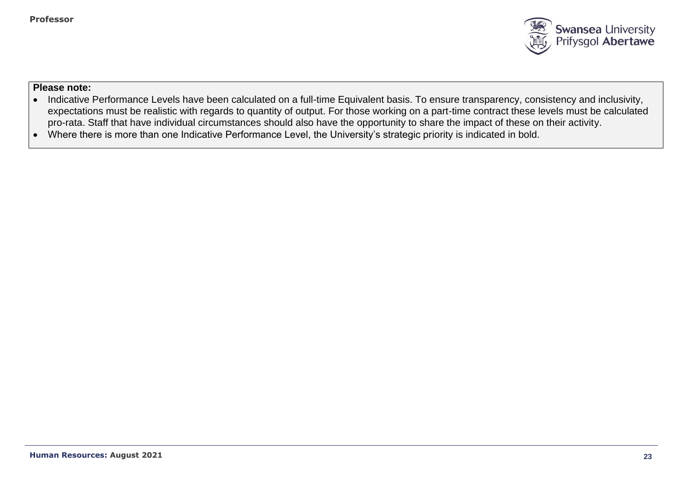

- Indicative Performance Levels have been calculated on a full-time Equivalent basis. To ensure transparency, consistency and inclusivity, expectations must be realistic with regards to quantity of output. For those working on a part-time contract these levels must be calculated pro-rata. Staff that have individual circumstances should also have the opportunity to share the impact of these on their activity.
- Where there is more than one Indicative Performance Level, the University's strategic priority is indicated in bold.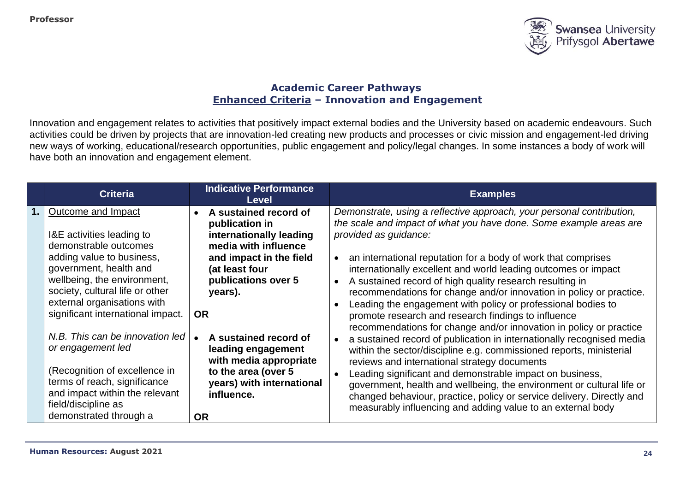

# **Academic Career Pathways Enhanced Criteria – Innovation and Engagement**

Innovation and engagement relates to activities that positively impact external bodies and the University based on academic endeavours. Such activities could be driven by projects that are innovation-led creating new products and processes or civic mission and engagement-led driving new ways of working, educational/research opportunities, public engagement and policy/legal changes. In some instances a body of work will have both an innovation and engagement element.

| <b>Criteria</b>                                                                                                                                                                                                                                                                                                                                                                                                                                                                   | <b>Indicative Performance</b><br>Level                                                                                                                                                                                                                                                                                                         | <b>Examples</b>                                                                                                                                                                                                                                                                                                                                                                                                                                                                                                                                                                                                                                                                                                                                                                                                                                                                                                                                                                                                                                                                                                                   |
|-----------------------------------------------------------------------------------------------------------------------------------------------------------------------------------------------------------------------------------------------------------------------------------------------------------------------------------------------------------------------------------------------------------------------------------------------------------------------------------|------------------------------------------------------------------------------------------------------------------------------------------------------------------------------------------------------------------------------------------------------------------------------------------------------------------------------------------------|-----------------------------------------------------------------------------------------------------------------------------------------------------------------------------------------------------------------------------------------------------------------------------------------------------------------------------------------------------------------------------------------------------------------------------------------------------------------------------------------------------------------------------------------------------------------------------------------------------------------------------------------------------------------------------------------------------------------------------------------------------------------------------------------------------------------------------------------------------------------------------------------------------------------------------------------------------------------------------------------------------------------------------------------------------------------------------------------------------------------------------------|
| Outcome and Impact<br>I&E activities leading to<br>demonstrable outcomes<br>adding value to business,<br>government, health and<br>wellbeing, the environment,<br>society, cultural life or other<br>external organisations with<br>significant international impact.<br>N.B. This can be innovation led<br>or engagement led<br>(Recognition of excellence in<br>terms of reach, significance<br>and impact within the relevant<br>field/discipline as<br>demonstrated through a | A sustained record of<br>publication in<br>internationally leading<br>media with influence<br>and impact in the field<br>(at least four<br>publications over 5<br>years).<br><b>OR</b><br>A sustained record of<br>leading engagement<br>with media appropriate<br>to the area (over 5<br>years) with international<br>influence.<br><b>OR</b> | Demonstrate, using a reflective approach, your personal contribution,<br>the scale and impact of what you have done. Some example areas are<br>provided as guidance:<br>an international reputation for a body of work that comprises<br>$\bullet$<br>internationally excellent and world leading outcomes or impact<br>A sustained record of high quality research resulting in<br>recommendations for change and/or innovation in policy or practice.<br>Leading the engagement with policy or professional bodies to<br>promote research and research findings to influence<br>recommendations for change and/or innovation in policy or practice<br>a sustained record of publication in internationally recognised media<br>within the sector/discipline e.g. commissioned reports, ministerial<br>reviews and international strategy documents<br>Leading significant and demonstrable impact on business,<br>government, health and wellbeing, the environment or cultural life or<br>changed behaviour, practice, policy or service delivery. Directly and<br>measurably influencing and adding value to an external body |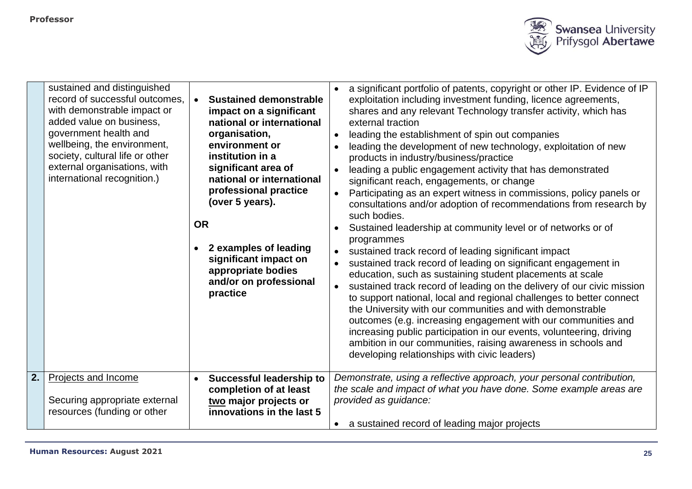

|                  | sustained and distinguished<br>record of successful outcomes,<br>with demonstrable impact or<br>added value on business,<br>government health and<br>wellbeing, the environment,<br>society, cultural life or other<br>external organisations, with<br>international recognition.) | <b>OR</b><br>$\bullet$ | <b>Sustained demonstrable</b><br>impact on a significant<br>national or international<br>organisation,<br>environment or<br>institution in a<br>significant area of<br>national or international<br>professional practice<br>(over 5 years).<br>2 examples of leading<br>significant impact on<br>appropriate bodies<br>and/or on professional<br>practice | $\bullet$<br>$\bullet$ | a significant portfolio of patents, copyright or other IP. Evidence of IP<br>exploitation including investment funding, licence agreements,<br>shares and any relevant Technology transfer activity, which has<br>external traction<br>leading the establishment of spin out companies<br>leading the development of new technology, exploitation of new<br>products in industry/business/practice<br>leading a public engagement activity that has demonstrated<br>significant reach, engagements, or change<br>Participating as an expert witness in commissions, policy panels or<br>consultations and/or adoption of recommendations from research by<br>such bodies.<br>Sustained leadership at community level or of networks or of<br>programmes<br>sustained track record of leading significant impact<br>sustained track record of leading on significant engagement in<br>education, such as sustaining student placements at scale<br>sustained track record of leading on the delivery of our civic mission<br>to support national, local and regional challenges to better connect<br>the University with our communities and with demonstrable<br>outcomes (e.g. increasing engagement with our communities and<br>increasing public participation in our events, volunteering, driving<br>ambition in our communities, raising awareness in schools and<br>developing relationships with civic leaders) |
|------------------|------------------------------------------------------------------------------------------------------------------------------------------------------------------------------------------------------------------------------------------------------------------------------------|------------------------|------------------------------------------------------------------------------------------------------------------------------------------------------------------------------------------------------------------------------------------------------------------------------------------------------------------------------------------------------------|------------------------|-------------------------------------------------------------------------------------------------------------------------------------------------------------------------------------------------------------------------------------------------------------------------------------------------------------------------------------------------------------------------------------------------------------------------------------------------------------------------------------------------------------------------------------------------------------------------------------------------------------------------------------------------------------------------------------------------------------------------------------------------------------------------------------------------------------------------------------------------------------------------------------------------------------------------------------------------------------------------------------------------------------------------------------------------------------------------------------------------------------------------------------------------------------------------------------------------------------------------------------------------------------------------------------------------------------------------------------------------------------------------------------------------------------------------|
| $\overline{2}$ . | Projects and Income<br>Securing appropriate external<br>resources (funding or other                                                                                                                                                                                                | $\bullet$              | <b>Successful leadership to</b><br>completion of at least<br>two major projects or<br>innovations in the last 5                                                                                                                                                                                                                                            |                        | Demonstrate, using a reflective approach, your personal contribution,<br>the scale and impact of what you have done. Some example areas are<br>provided as guidance:<br>a sustained record of leading major projects                                                                                                                                                                                                                                                                                                                                                                                                                                                                                                                                                                                                                                                                                                                                                                                                                                                                                                                                                                                                                                                                                                                                                                                                    |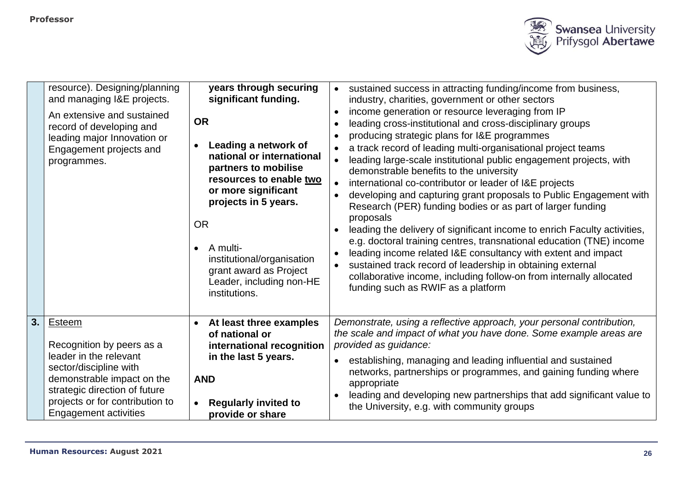

|    | resource). Designing/planning<br>and managing I&E projects.<br>An extensive and sustained<br>record of developing and<br>leading major Innovation or<br>Engagement projects and<br>programmes.                            | years through securing<br>significant funding.<br><b>OR</b><br>Leading a network of<br>national or international<br>partners to mobilise<br>resources to enable two<br>or more significant<br>projects in 5 years.<br><b>OR</b><br>- A multi<br>$\bullet$<br>institutional/organisation<br>grant award as Project<br>Leader, including non-HE<br>institutions. | sustained success in attracting funding/income from business,<br>$\bullet$<br>industry, charities, government or other sectors<br>income generation or resource leveraging from IP<br>$\bullet$<br>leading cross-institutional and cross-disciplinary groups<br>$\bullet$<br>producing strategic plans for I&E programmes<br>$\bullet$<br>a track record of leading multi-organisational project teams<br>$\bullet$<br>leading large-scale institutional public engagement projects, with<br>$\bullet$<br>demonstrable benefits to the university<br>international co-contributor or leader of I&E projects<br>$\bullet$<br>developing and capturing grant proposals to Public Engagement with<br>$\bullet$<br>Research (PER) funding bodies or as part of larger funding<br>proposals<br>leading the delivery of significant income to enrich Faculty activities,<br>e.g. doctoral training centres, transnational education (TNE) income<br>leading income related I&E consultancy with extent and impact<br>$\bullet$<br>sustained track record of leadership in obtaining external<br>$\bullet$<br>collaborative income, including follow-on from internally allocated<br>funding such as RWIF as a platform |
|----|---------------------------------------------------------------------------------------------------------------------------------------------------------------------------------------------------------------------------|----------------------------------------------------------------------------------------------------------------------------------------------------------------------------------------------------------------------------------------------------------------------------------------------------------------------------------------------------------------|------------------------------------------------------------------------------------------------------------------------------------------------------------------------------------------------------------------------------------------------------------------------------------------------------------------------------------------------------------------------------------------------------------------------------------------------------------------------------------------------------------------------------------------------------------------------------------------------------------------------------------------------------------------------------------------------------------------------------------------------------------------------------------------------------------------------------------------------------------------------------------------------------------------------------------------------------------------------------------------------------------------------------------------------------------------------------------------------------------------------------------------------------------------------------------------------------------------|
| 3. | Esteem<br>Recognition by peers as a<br>leader in the relevant<br>sector/discipline with<br>demonstrable impact on the<br>strategic direction of future<br>projects or for contribution to<br><b>Engagement activities</b> | At least three examples<br>$\bullet$<br>of national or<br>international recognition<br>in the last 5 years.<br><b>AND</b><br><b>Regularly invited to</b><br>$\bullet$<br>provide or share                                                                                                                                                                      | Demonstrate, using a reflective approach, your personal contribution,<br>the scale and impact of what you have done. Some example areas are<br>provided as guidance:<br>establishing, managing and leading influential and sustained<br>networks, partnerships or programmes, and gaining funding where<br>appropriate<br>leading and developing new partnerships that add significant value to<br>the University, e.g. with community groups                                                                                                                                                                                                                                                                                                                                                                                                                                                                                                                                                                                                                                                                                                                                                                    |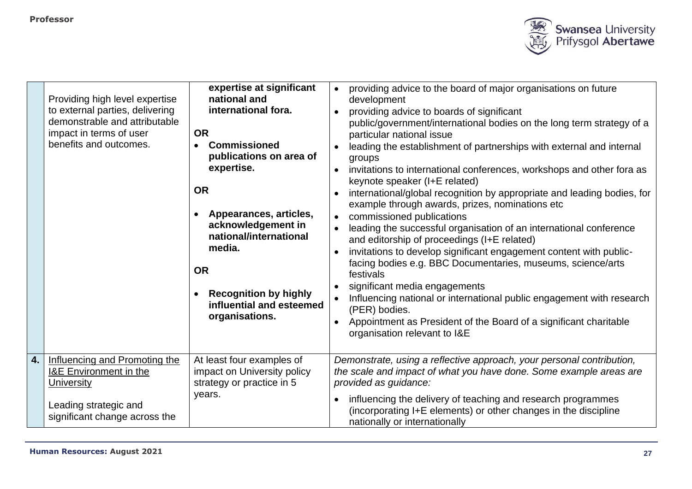

|    | Providing high level expertise<br>to external parties, delivering<br>demonstrable and attributable<br>impact in terms of user<br>benefits and outcomes. | expertise at significant<br>national and<br>international fora.<br><b>OR</b><br><b>Commissioned</b><br>publications on area of<br>expertise.<br><b>OR</b><br>Appearances, articles,<br>acknowledgement in<br>national/international<br>media.<br><b>OR</b><br><b>Recognition by highly</b><br>$\bullet$<br>influential and esteemed<br>organisations. | providing advice to the board of major organisations on future<br>$\bullet$<br>development<br>providing advice to boards of significant<br>public/government/international bodies on the long term strategy of a<br>particular national issue<br>leading the establishment of partnerships with external and internal<br>groups<br>invitations to international conferences, workshops and other fora as<br>$\bullet$<br>keynote speaker (I+E related)<br>international/global recognition by appropriate and leading bodies, for<br>example through awards, prizes, nominations etc<br>commissioned publications<br>$\bullet$<br>leading the successful organisation of an international conference<br>and editorship of proceedings (I+E related)<br>invitations to develop significant engagement content with public-<br>$\bullet$<br>facing bodies e.g. BBC Documentaries, museums, science/arts<br>festivals<br>significant media engagements<br>Influencing national or international public engagement with research<br>(PER) bodies.<br>Appointment as President of the Board of a significant charitable<br>$\bullet$<br>organisation relevant to I&E |
|----|---------------------------------------------------------------------------------------------------------------------------------------------------------|-------------------------------------------------------------------------------------------------------------------------------------------------------------------------------------------------------------------------------------------------------------------------------------------------------------------------------------------------------|-----------------------------------------------------------------------------------------------------------------------------------------------------------------------------------------------------------------------------------------------------------------------------------------------------------------------------------------------------------------------------------------------------------------------------------------------------------------------------------------------------------------------------------------------------------------------------------------------------------------------------------------------------------------------------------------------------------------------------------------------------------------------------------------------------------------------------------------------------------------------------------------------------------------------------------------------------------------------------------------------------------------------------------------------------------------------------------------------------------------------------------------------------------------|
| 4. | Influencing and Promoting the<br><b>I&amp;E Environment in the</b><br>University<br>Leading strategic and<br>significant change across the              | At least four examples of<br>impact on University policy<br>strategy or practice in 5<br>years.                                                                                                                                                                                                                                                       | Demonstrate, using a reflective approach, your personal contribution,<br>the scale and impact of what you have done. Some example areas are<br>provided as guidance:<br>influencing the delivery of teaching and research programmes<br>$\bullet$<br>(incorporating I+E elements) or other changes in the discipline<br>nationally or internationally                                                                                                                                                                                                                                                                                                                                                                                                                                                                                                                                                                                                                                                                                                                                                                                                           |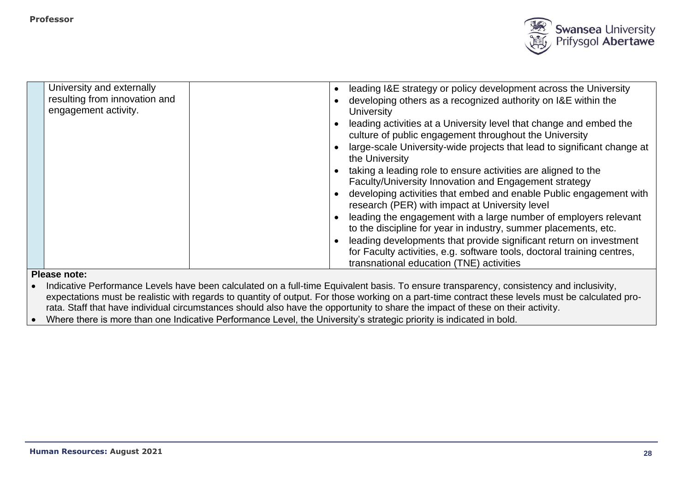

| University and externally<br>resulting from innovation and | leading I&E strategy or policy development across the University<br>$\bullet$<br>developing others as a recognized authority on I&E within the |
|------------------------------------------------------------|------------------------------------------------------------------------------------------------------------------------------------------------|
| engagement activity.                                       | University                                                                                                                                     |
|                                                            | leading activities at a University level that change and embed the<br>culture of public engagement throughout the University                   |
|                                                            | large-scale University-wide projects that lead to significant change at<br>the University                                                      |
|                                                            | taking a leading role to ensure activities are aligned to the<br>Faculty/University Innovation and Engagement strategy                         |
|                                                            | developing activities that embed and enable Public engagement with                                                                             |
|                                                            | research (PER) with impact at University level                                                                                                 |
|                                                            | leading the engagement with a large number of employers relevant                                                                               |
|                                                            | to the discipline for year in industry, summer placements, etc.                                                                                |
|                                                            | leading developments that provide significant return on investment<br>for Faculty activities, e.g. software tools, doctoral training centres,  |
|                                                            | transnational education (TNE) activities                                                                                                       |
| <b>BUSINESS AND ARRAIGNMENT ACCOMPANY</b>                  |                                                                                                                                                |

• Indicative Performance Levels have been calculated on a full-time Equivalent basis. To ensure transparency, consistency and inclusivity, expectations must be realistic with regards to quantity of output. For those working on a part-time contract these levels must be calculated prorata. Staff that have individual circumstances should also have the opportunity to share the impact of these on their activity.

• Where there is more than one Indicative Performance Level, the University's strategic priority is indicated in bold.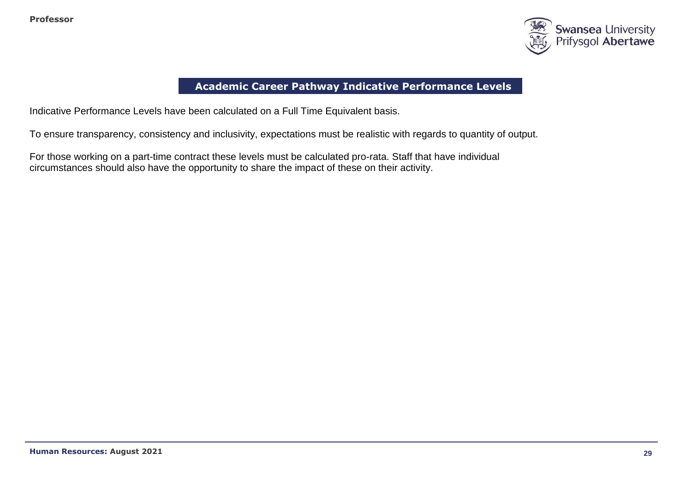

# **Academic Career Pathway Indicative Performance Levels**

Indicative Performance Levels have been calculated on a Full Time Equivalent basis.

To ensure transparency, consistency and inclusivity, expectations must be realistic with regards to quantity of output.

For those working on a part-time contract these levels must be calculated pro-rata. Staff that have individual circumstances should also have the opportunity to share the impact of these on their activity.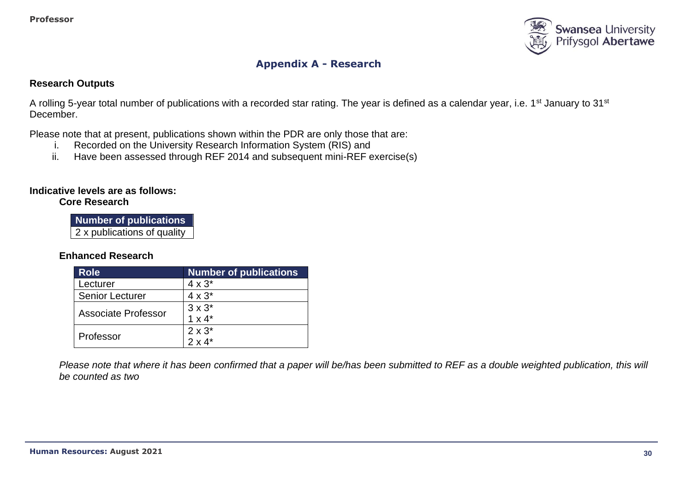

# **Appendix A - Research**

#### **Research Outputs**

A rolling 5-year total number of publications with a recorded star rating. The year is defined as a calendar year, i.e. 1<sup>st</sup> January to 31<sup>st</sup> December.

Please note that at present, publications shown within the PDR are only those that are:

- i. Recorded on the University Research Information System (RIS) and
- ii. Have been assessed through REF 2014 and subsequent mini-REF exercise(s)

#### **Indicative levels are as follows:**

#### **Core Research**

**Number of publications** 2 x publications of quality

## **Enhanced Research**

| <b>Role</b>            | <b>Number of publications</b> |
|------------------------|-------------------------------|
| Lecturer               | $4 \times 3^*$                |
| <b>Senior Lecturer</b> | $4 \times 3^*$                |
| Associate Professor    | $3 \times 3^*$                |
|                        | $1 \times 4^*$                |
| Professor              | $2 \times 3^*$                |
|                        | $2 \times 4^*$                |

*Please note that where it has been confirmed that a paper will be/has been submitted to REF as a double weighted publication, this will be counted as two*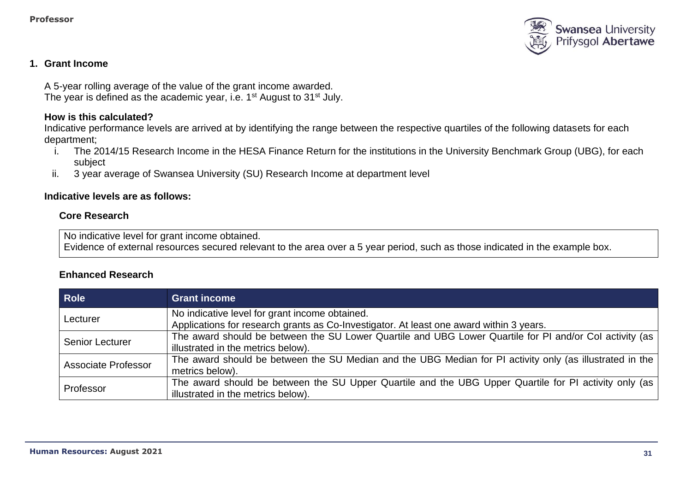

## **1. Grant Income**

A 5-year rolling average of the value of the grant income awarded. The year is defined as the academic year, i.e. 1<sup>st</sup> August to 31<sup>st</sup> July.

#### **How is this calculated?**

Indicative performance levels are arrived at by identifying the range between the respective quartiles of the following datasets for each department;

- i. The 2014/15 Research Income in the HESA Finance Return for the institutions in the University Benchmark Group (UBG), for each subject
- ii. 3 year average of Swansea University (SU) Research Income at department level

#### **Indicative levels are as follows:**

#### **Core Research**

No indicative level for grant income obtained.

Evidence of external resources secured relevant to the area over a 5 year period, such as those indicated in the example box.

#### **Enhanced Research**

| <b>Role</b>                | <b>Grant income</b>                                                                                      |
|----------------------------|----------------------------------------------------------------------------------------------------------|
| Lecturer                   | No indicative level for grant income obtained.                                                           |
|                            | Applications for research grants as Co-Investigator. At least one award within 3 years.                  |
| <b>Senior Lecturer</b>     | The award should be between the SU Lower Quartile and UBG Lower Quartile for PI and/or Col activity (as  |
|                            | illustrated in the metrics below).                                                                       |
| <b>Associate Professor</b> | The award should be between the SU Median and the UBG Median for PI activity only (as illustrated in the |
|                            | metrics below).                                                                                          |
| Professor                  | The award should be between the SU Upper Quartile and the UBG Upper Quartile for PI activity only (as    |
|                            | illustrated in the metrics below).                                                                       |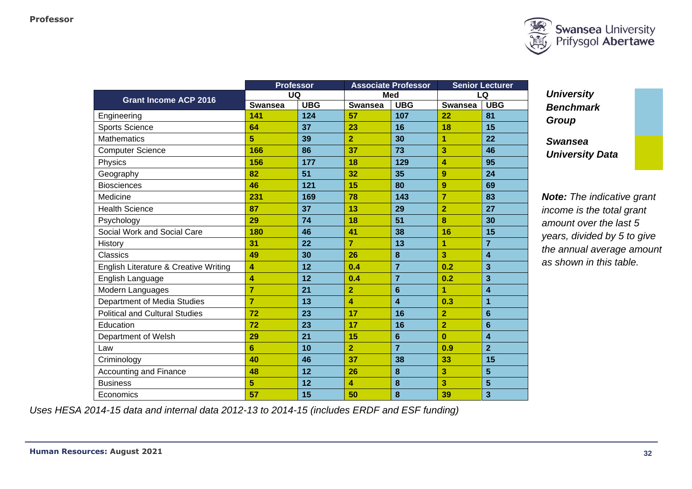

|                                       | <b>Professor</b> |            |                | <b>Associate Professor</b> |                        | <b>Senior Lecturer</b> |
|---------------------------------------|------------------|------------|----------------|----------------------------|------------------------|------------------------|
| <b>Grant Income ACP 2016</b>          | UQ               |            | <b>Med</b>     |                            | LQ                     |                        |
|                                       | <b>Swansea</b>   | <b>UBG</b> | <b>Swansea</b> | <b>UBG</b>                 | <b>Swansea</b>         | <b>UBG</b>             |
| Engineering                           | 141              | 124        | 57             | 107                        | 22                     | 81                     |
| <b>Sports Science</b>                 | 64               | 37         | 23             | 16                         | 18                     | 15                     |
| <b>Mathematics</b>                    | 5                | 39         | $\overline{2}$ | 30                         | 1                      | 22                     |
| <b>Computer Science</b>               | 166              | 86         | 37             | 73                         | 3                      | 46                     |
| Physics                               | 156              | 177        | 18             | 129                        | $\boldsymbol{\Lambda}$ | 95                     |
| Geography                             | 82               | 51         | 32             | 35                         | 9                      | 24                     |
| <b>Biosciences</b>                    | 46               | 121        | 15             | 80                         | 9                      | 69                     |
| Medicine                              | 231              | 169        | 78             | 143                        | $\overline{7}$         | 83                     |
| <b>Health Science</b>                 | 87               | 37         | 13             | 29                         | $\overline{2}$         | 27                     |
| Psychology                            | 29               | 74         | 18             | 51                         | 8                      | 30                     |
| Social Work and Social Care           | 180              | 46         | 41             | 38                         | 16                     | 15                     |
| History                               | 31               | 22         | $\overline{7}$ | 13                         | 1                      | $\overline{7}$         |
| <b>Classics</b>                       | 49               | 30         | 26             | 8                          | 3                      | 4                      |
| English Literature & Creative Writing | 4                | 12         | 0.4            | $\overline{7}$             | 0.2                    | 3                      |
| English Language                      | 4                | 12         | 0.4            | $\overline{7}$             | 0.2                    | 3                      |
| Modern Languages                      | $\overline{7}$   | 21         | $\overline{2}$ | 6                          | 1                      | 4                      |
| Department of Media Studies           | $\overline{7}$   | 13         | 4              | 4                          | 0.3                    | $\overline{1}$         |
| <b>Political and Cultural Studies</b> | 72               | 23         | 17             | 16                         | $\overline{2}$         | 6                      |
| Education                             | 72               | 23         | 17             | 16                         | $\overline{2}$         | $6\phantom{1}6$        |
| Department of Welsh                   | 29               | 21         | 15             | $6\phantom{1}$             | $\bf{0}$               | 4                      |
| Law                                   | 6                | 10         | $\overline{2}$ | $\overline{7}$             | 0.9                    | $\overline{2}$         |
| Criminology                           | 40               | 46         | 37             | 38                         | 33                     | 15                     |
| Accounting and Finance                | 48               | 12         | 26             | 8                          | 3                      | $5\phantom{1}$         |
| <b>Business</b>                       | 5                | 12         | 4              | 8                          | 3                      | 5                      |
| Economics                             | 57               | 15         | 50             | 8                          | 39                     | 3                      |

*University Benchmark Group*

*Swansea University Data*

*Note: The indicative grant income is the total grant amount over the last 5 years, divided by 5 to give the annual average amount as shown in this table.*

*Uses HESA 2014-15 data and internal data 2012-13 to 2014-15 (includes ERDF and ESF funding)*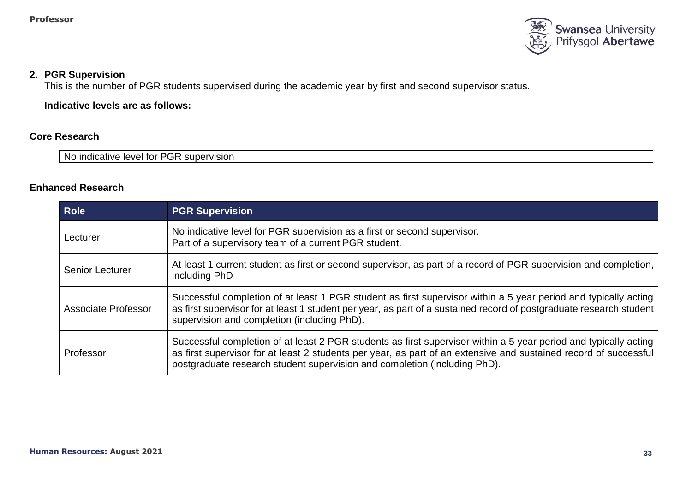

#### **2. PGR Supervision**

This is the number of PGR students supervised during the academic year by first and second supervisor status.

**Indicative levels are as follows:**

## **Core Research**

No indicative level for PGR supervision

## **Enhanced Research**

| <b>Role</b>            | <b>PGR Supervision</b>                                                                                                                                                                                                                                                                                            |
|------------------------|-------------------------------------------------------------------------------------------------------------------------------------------------------------------------------------------------------------------------------------------------------------------------------------------------------------------|
| Lecturer               | No indicative level for PGR supervision as a first or second supervisor.<br>Part of a supervisory team of a current PGR student.                                                                                                                                                                                  |
| <b>Senior Lecturer</b> | At least 1 current student as first or second supervisor, as part of a record of PGR supervision and completion,  <br>including PhD                                                                                                                                                                               |
| Associate Professor    | Successful completion of at least 1 PGR student as first supervisor within a 5 year period and typically acting<br>as first supervisor for at least 1 student per year, as part of a sustained record of postgraduate research student<br>supervision and completion (including PhD).                             |
| Professor              | Successful completion of at least 2 PGR students as first supervisor within a 5 year period and typically acting<br>as first supervisor for at least 2 students per year, as part of an extensive and sustained record of successful<br>postgraduate research student supervision and completion (including PhD). |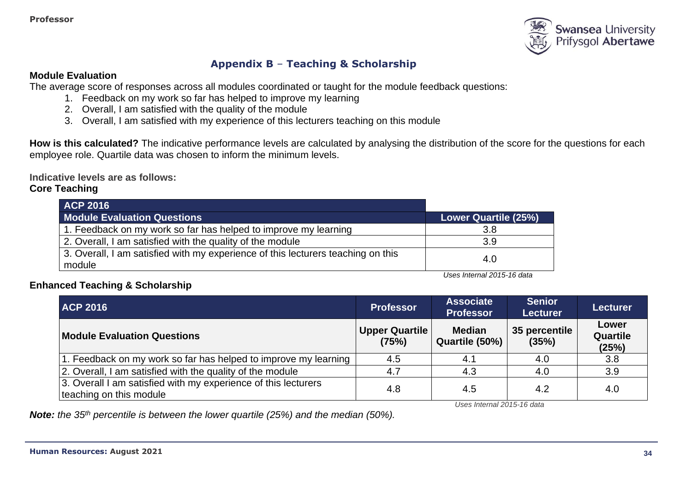

# **Appendix B** – **Teaching & Scholarship**

#### **Module Evaluation**

The average score of responses across all modules coordinated or taught for the module feedback questions:

- 1. Feedback on my work so far has helped to improve my learning
- 2. Overall, I am satisfied with the quality of the module
- 3. Overall, I am satisfied with my experience of this lecturers teaching on this module

**How is this calculated?** The indicative performance levels are calculated by analysing the distribution of the score for the questions for each employee role. Quartile data was chosen to inform the minimum levels.

**Indicative levels are as follows:** 

### **Core Teaching**

| <b>ACP 2016</b>                                                                            |                      |
|--------------------------------------------------------------------------------------------|----------------------|
| <b>Module Evaluation Questions</b>                                                         | Lower Quartile (25%) |
| 1. Feedback on my work so far has helped to improve my learning                            | 3.8                  |
| 2. Overall, I am satisfied with the quality of the module                                  | 3.9                  |
| 3. Overall, I am satisfied with my experience of this lecturers teaching on this<br>module | 4.0                  |

*Uses Internal 2015-16 data*

## **Enhanced Teaching & Scholarship**

| <b>ACP 2016</b>                                                                           | <b>Professor</b>               | <b>Associate</b><br><b>Professor</b> | <b>Senior</b><br><b>Lecturer</b> | <b>Lecturer</b>                   |
|-------------------------------------------------------------------------------------------|--------------------------------|--------------------------------------|----------------------------------|-----------------------------------|
| <b>Module Evaluation Questions</b>                                                        | <b>Upper Quartile</b><br>(75%) | <b>Median</b><br>Quartile (50%)      | 35 percentile<br>(35%)           | Lower<br><b>Quartile</b><br>(25%) |
| 1. Feedback on my work so far has helped to improve my learning                           | 4.5                            | 4.1                                  | 4.0                              | 3.8                               |
| 2. Overall, I am satisfied with the quality of the module                                 | 4.7                            | 4.3                                  | 4.0                              | 3.9                               |
| 3. Overall I am satisfied with my experience of this lecturers<br>teaching on this module | 4.8                            | 4.5                                  | 4.2                              | 4.0                               |

*Uses Internal 2015-16 data*

*Note: the 35th percentile is between the lower quartile (25%) and the median (50%).*